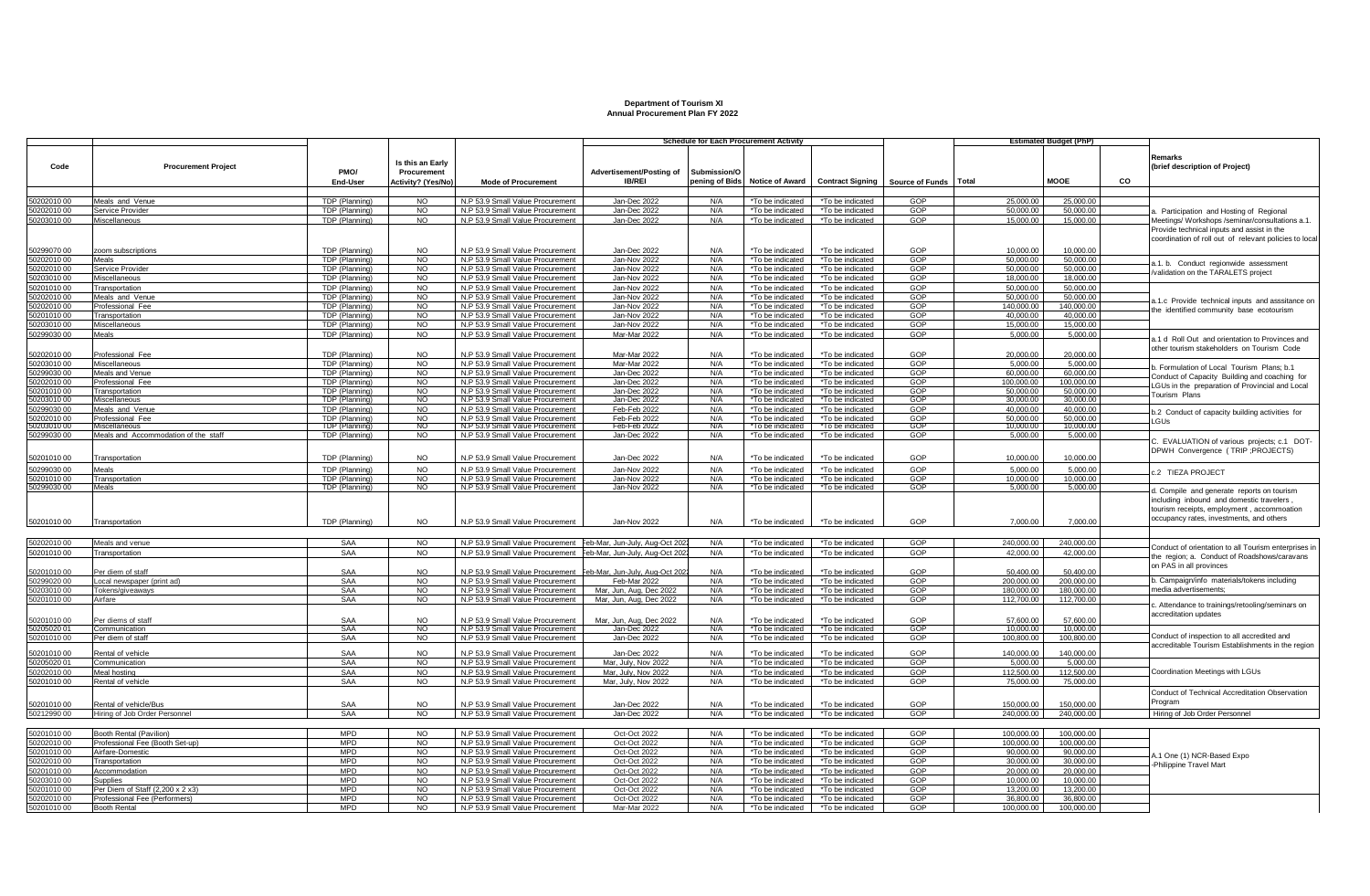## **Department of Tourism XI Annual Procurement Plan FY 2022**

|                           |                                        |                                         |                                 |                                                                      |                                |                | <b>Schedule for Each Procurement Activity</b> |                                      |                                        |                          | <b>Estimated Budget (PhP)</b> |    |                                                                                                                                       |
|---------------------------|----------------------------------------|-----------------------------------------|---------------------------------|----------------------------------------------------------------------|--------------------------------|----------------|-----------------------------------------------|--------------------------------------|----------------------------------------|--------------------------|-------------------------------|----|---------------------------------------------------------------------------------------------------------------------------------------|
| Code                      | <b>Procurement Project</b>             | PMO/                                    | Is this an Early<br>Procurement |                                                                      | Advertisement/Posting of       | Submission/O   |                                               |                                      |                                        |                          |                               |    | Remarks<br>(brief description of Project)                                                                                             |
|                           |                                        | End-User                                | Activity? (Yes/No)              | <b>Mode of Procurement</b>                                           | <b>IB/REI</b>                  | pening of Bids | <b>Notice of Award</b>                        |                                      | Contract Signing Source of Funds Total |                          | <b>MOOE</b>                   | CO |                                                                                                                                       |
| 0202010 00                | Meals and Venue                        | TDP (Planning)                          | NO.                             | N.P 53.9 Small Value Procurement                                     | Jan-Dec 2022                   | N/A            | *To be indicated                              | *To be indicated                     | GOP                                    | 25,000.00                | 25,000.00                     |    |                                                                                                                                       |
| 50202010 00               | Service Provider                       | TDP (Planning)                          | <b>NO</b>                       | N.P 53.9 Small Value Procurement                                     | Jan-Dec 2022                   | N/A            | *To be indicated                              | *To be indicated                     | GOP                                    | 50,000.00                | 50,000.00                     |    | Participation and Hosting of Regional                                                                                                 |
| 50203010 00               | Miscellaneous                          | TDP (Planning)                          | <b>NO</b>                       | N.P 53.9 Small Value Procurement                                     | Jan-Dec 2022                   | N/A            | *To be indicated                              | *To be indicated                     | GOP                                    | 15,000.00                | 15,000.00                     |    | Meetings/ Workshops /seminar/consultations a.1.                                                                                       |
|                           |                                        |                                         |                                 |                                                                      |                                |                |                                               |                                      |                                        |                          |                               |    | Provide technical inputs and assist in the<br>coordination of roll out of relevant policies to local                                  |
| 50299070 00               | zoom subscriptions                     | TDP (Planning)                          | <b>NO</b>                       | N.P 53.9 Small Value Procurement                                     | Jan-Dec 2022                   | N/A            | *To be indicated                              | *To be indicated                     | GOP                                    | 10.000.00                | 10,000.00                     |    |                                                                                                                                       |
| 50202010 00               | Meals                                  | TDP (Planning)                          | <b>NO</b>                       | N.P 53.9 Small Value Procurement                                     | Jan-Nov 2022                   | N/A            | *To be indicated                              | *To be indicated                     | GOP                                    | 50,000,00                | 50,000.00                     |    | a.1. b. Conduct regionwide assessment                                                                                                 |
| 50202010 00               | Service Provider                       | TDP (Planning)                          | NO.                             | N.P 53.9 Small Value Procurement                                     | Jan-Nov 2022                   | N/A<br>N/A     | *To be indicated<br>*To be indicated          | *To be indicated                     | GOP<br>GOP                             | 50,000,00                | 50,000,00<br>18,000.00        |    | validation on the TARALETS project                                                                                                    |
| 0203010 00<br>0201010 00  | Miscellaneous<br>Transportation        | TDP (Planning)<br>TDP (Planning)        | <b>NO</b><br><b>NO</b>          | N.P 53.9 Small Value Procurement<br>N.P 53.9 Small Value Procurement | Jan-Nov 2022<br>Jan-Nov 2022   | N/A            | *To be indicated                              | *To be indicated<br>*To be indicated | GOP                                    | 18,000.00<br>50.000.00   | 50.000.00                     |    |                                                                                                                                       |
| 50202010 00               | Meals and Venue                        | TDP (Planning)                          | <b>NO</b>                       | N.P 53.9 Small Value Procurement                                     | Jan-Nov 2022                   | N/A            | *To be indicated                              | *To be indicated                     | GOP                                    | 50.000.00                | 50,000,00                     |    |                                                                                                                                       |
| 0202010 00                | Professional Fee                       | TDP (Planning)                          | <b>NO</b>                       | N.P 53.9 Small Value Procurement                                     | Jan-Nov 2022                   | N/A            | *To be indicated                              | *To be indicated                     | GOP                                    | 140,000.00               | 140.000.00                    |    | 1.1.c Provide technical inputs and asssitance on                                                                                      |
| 0201010 00                | Transportation                         | TDP (Planning)                          | NO.                             | N.P 53.9 Small Value Procurement                                     | Jan-Nov 2022                   | N/A            | *To be indicated                              | *To be indicated                     | GOP                                    | 40.000.00                | 40.000.00                     |    | the identified community base ecotourism                                                                                              |
| 0203010 00                | Miscellaneous                          | TDP (Planning)                          | N <sub>O</sub>                  | N.P 53.9 Small Value Procurement                                     | Jan-Nov 2022                   | N/A            | *To be indicated                              | *To be indicated                     | GOP                                    | 15,000.00                | 15,000.00                     |    |                                                                                                                                       |
| 0299030 00                | Meals                                  | TDP (Planning)                          | N <sup>O</sup>                  | N.P 53.9 Small Value Procurement                                     | Mar-Mar 2022                   | N/A            | *To be indicated                              | *To be indicated                     | GOP                                    | 5.000.00                 | 5.000.00                      |    |                                                                                                                                       |
| 0202010 00                | Professional Fee                       | TDP (Planning)                          | <b>NO</b>                       | N.P 53.9 Small Value Procurement                                     | <b>Mar-Mar 2022</b>            | N/A            | *To be indicated                              | *To be indicated                     | GOP                                    | 20,000.00                | 20,000.00                     |    | 1.1 d Roll Out and orientation to Provinces and<br>other tourism stakeholders on Tourism Code                                         |
| 0203010 00                | Miscellaneous                          | TDP (Planning)                          | NO                              | N.P 53.9 Small Value Procurement                                     | Mar-Mar 2022                   | N/A            | *To be indicated                              | *To be indicated                     | GOP                                    | 5,000.00                 | 5.000.00                      |    | b. Formulation of Local Tourism Plans: b.1                                                                                            |
| 0299030.00                | Meals and Venue                        | TDP (Planning)                          | <b>NO</b>                       | N.P 53.9 Small Value Procurement                                     | Jan-Dec 2022                   | N/A            | *To be indicated                              | *To be indicated                     | GOP                                    | 60,000.00                | 60,000.00                     |    | Conduct of Capacity Building and coaching for                                                                                         |
| 202010 00                 | Professional Fee                       | TDP (Planning)                          | <b>NO</b>                       | N.P 53.9 Small Value Procurement                                     | Jan-Dec 2022                   | N/A            | *To be indicated                              | *To be indicated                     | GOP                                    | 100.000.00               | 100,000.00                    |    | LGUs in the preparation of Provincial and Local                                                                                       |
| 50201010 00               | Transportation                         | TDP (Planning)                          | <b>NO</b>                       | N.P 53.9 Small Value Procurement                                     | Jan-Dec 2022                   | N/A            | *To be indicated                              | *To be indicated                     | GOP                                    | 50,000,00                | 50,000.00                     |    | Tourism Plans                                                                                                                         |
| 203010 00                 | <b>Miscellaneous</b>                   | TDP (Planning)                          | NO                              | N.P 53.9 Small Value Procurement                                     | Jan-Dec 2022                   | N/A            | *To be indicated                              | *To be indicated                     | GOP                                    | 30,000.00                | 30,000.00                     |    |                                                                                                                                       |
| 0299030 00<br>0202010 00  | Meals and Venue<br>Professional Fee    | TDP (Planning)<br>TDP (Planning)        | <b>NO</b><br>$\overline{3}$     | N.P 53.9 Small Value Procurement<br>N.P 53.9 Small Value Procurement | Feb-Feb 2022<br>Feb-Feb 2022   | N/A<br>N/A     | *To be indicated<br>*To be indicated          | *To be indicated<br>*To be indicated | GOP<br>GOP                             | 40.000.00<br>50,000,00   | 40.000.00<br>50,000,00        |    | b.2 Conduct of capacity building activities for                                                                                       |
| 20301000                  | Miscellaneous                          | TDP (Planning)                          | NO                              | N.P 53.9 Small Value Procurement                                     | Feb-Feb 2022                   | N/A            | *To be indicated                              | *To be indicated                     | GOP                                    | 10,000.00                | 10.000.00                     |    | LGUs                                                                                                                                  |
| 0299030 00                | Meals and Accommodation of the staff   | TDP (Planning)                          | <b>NO</b>                       | N.P 53.9 Small Value Procurement                                     | Jan-Dec 2022                   | N/A            | *To be indicated                              | *To be indicated                     | GOP                                    | 5.000.00                 | 5.000.00                      |    | C. EVALUATION of various projects; c.1 DOT-                                                                                           |
| 50201010 00               | Transportation                         | TDP (Planning)                          | NO.                             | N.P 53.9 Small Value Procurement                                     | Jan-Dec 2022                   | N/A            | *To be indicated                              | *To be indicated                     | GOP                                    | 10.000.00                | 10.000.00                     |    | DPWH Convergence (TRIP ; PROJECTS)                                                                                                    |
| 50299030 00               | Meals                                  | TDP (Planning)                          | NO.                             | N.P 53.9 Small Value Procurement                                     | Jan-Nov 2022                   | N/A            | *To be indicated                              | *To be indicated                     | GOP                                    | 5.000.00                 | 5.000.00                      |    | .2 TIEZA PROJECT                                                                                                                      |
| 50201010 00<br>0299030 00 | Transportation<br>Meals                | TDP (Planning)<br><b>TDP</b> (Planning) | NO.<br>NO                       | N.P 53.9 Small Value Procurement<br>N.P 53.9 Small Value Procurement | Jan-Nov 2022<br>Jan-Nov 2022   | N/A<br>N/A     | *To be indicated<br>*To be indicated          | *To be indicated<br>*To be indicated | GOP<br>GOP                             | 10,000.00<br>5,000.00    | 10,000.00<br>5,000.00         |    |                                                                                                                                       |
|                           |                                        |                                         |                                 |                                                                      |                                |                |                                               |                                      |                                        |                          |                               |    | d. Compile and generate reports on tourism<br>including inbound and domestic travelers,<br>tourism receipts, employment, accommoation |
| 50201010 00               | Transportation                         | TDP (Planning)                          | <b>NO</b>                       | N.P 53.9 Small Value Procurement                                     | Jan-Nov 2022                   | N/A            | *To be indicated                              | *To be indicated                     | GOP                                    | 7.000.00                 | 7.000.00                      |    | occupancy rates, investments, and others                                                                                              |
| 50202010 00               | Meals and venue                        | SAA                                     | <b>NO</b>                       | N.P 53.9 Small Value Procurement Feb-Mar, Jun-July, Aug-Oct 202      |                                | N/A            | *To be indicated                              |                                      | GOP                                    | 240,000.00               | 240,000.00                    |    |                                                                                                                                       |
| 50201010 00               | Transportation                         | SAA                                     | <b>NO</b>                       | N.P 53.9 Small Value Procurement Feb-Mar, Jun-July, Aug-Oct 202      |                                | N/A            | *To be indicated                              | *To be indicated<br>*To be indicated | GOP                                    | 42,000.00                | 42,000.00                     |    | Conduct of orientation to all Tourism enterprises in                                                                                  |
| 0201010 00                | Per diem of staff                      | SAA                                     | NO.                             | N.P 53.9 Small Value Procurement                                     | Feb-Mar. Jun-July, Aug-Oct 202 | N/A            | *To be indicated                              | *To be indicated                     | GOP                                    | 50.400.00                | 50.400.00                     |    | he region; a. Conduct of Roadshows/caravans<br>on PAS in all provinces                                                                |
| 299020 00                 | Local newspaper (print ad)             | SAA                                     | <b>NO</b>                       | N.P 53.9 Small Value Procurement                                     | Feb-Mar 2022                   | N/A            | *To be indicated                              | *To be indicated                     | GOP                                    | 200.000.00               | 200.000.0                     |    | b. Campaign/info materials/tokens including                                                                                           |
| 0203010 00                | Tokens/giveaways                       | <b>SAA</b>                              | <b>NO</b>                       | N.P 53.9 Small Value Procurement                                     | Mar. Jun. Aug. Dec 2022        | N/A            | *To be indicated                              | *To be indicated                     | GOP                                    | 180.000.00               | 180,000,00                    |    | media advertisements:                                                                                                                 |
| 00 01010                  | Airfare                                | SAA                                     | <b>NO</b>                       | N.P 53.9 Small Value Procurement                                     | Mar, Jun, Aug, Dec 2022        | N/A            | *To be indicated                              | *To be indicated                     | GOP                                    | 112,700.00               | 112,700.0                     |    | . Attendance to trainings/retooling/seminars on                                                                                       |
| 50201010 00               | Per diems of staff                     | SAA<br>SAA                              | NO.                             | N.P 53.9 Small Value Procurement                                     | Mar, Jun, Aug, Dec 2022        | $N/\Delta$     | *To be indicated                              | *To be indicated                     | GOP                                    | 57,600.00                | 57.600.00                     |    | accreditation updates                                                                                                                 |
| 0205020 01                | Communication                          | SAA                                     | NO.                             | N.P 53.9 Small Value Procurement                                     | Jan-Dec 2022                   | N/A            | *To be indicated                              | *To be indicated                     | GOP                                    | 10,000.00                | 10.000.0                      |    | Conduct of inspection to all accredited and                                                                                           |
| 50201010 00<br>0201010 00 | Per diem of staff<br>Rental of vehicle | SAA                                     | <b>NO</b><br><b>NO</b>          | N.P 53.9 Small Value Procurement<br>N.P 53.9 Small Value Procurement | Jan-Dec 2022<br>Jan-Dec 2022   | N/A<br>N/A     | *To be indicated<br>*To be indicated          | *To be indicated<br>*To be indicated | GOP<br>GOP                             | 100,800.00<br>140,000.00 | 100,800.00<br>140,000,00      |    | ccreditable Tourism Establishments in the region                                                                                      |
| 0205020 01                | Communication                          | SAA                                     | <b>NO</b>                       | N.P 53.9 Small Value Procurement                                     | Mar. July. Nov 2022            | N/A            | *To be indicated                              | *To be indicated                     | GOP                                    | 5.000.00                 | 5,000.00                      |    |                                                                                                                                       |
| 202010 00                 | Meal hosting                           | <b>SAA</b>                              | <b>NO</b>                       | N.P 53.9 Small Value Procurement                                     | Mar, July, Nov 2022            | N/A            | *To be indicated                              | *To be indicated                     | GOP                                    | 112,500.00               | 112.500.0                     |    | Coordination Meetings with LGUs                                                                                                       |
| 0201010 00                | Rental of vehicle                      | SAA                                     | <b>NO</b>                       | N.P 53.9 Small Value Procurement                                     | Mar. July. Nov 2022            | N/A            | *To be indicated                              | *To be indicated                     | GOP                                    | 75,000.00                | 75.000.00                     |    |                                                                                                                                       |
| 50201010 00               | Rental of vehicle/Bus                  | SAA                                     | <b>NO</b>                       | N.P 53.9 Small Value Procurement                                     | Jan-Dec 2022                   | N/A            | *To be indicated                              | *To be indicated                     | GOP                                    | 150,000,00               | 150,000.00                    |    | Conduct of Technical Accreditation Observation<br>Program                                                                             |
| 50212990 00               | Hiring of Job Order Personnel          | <b>SAA</b>                              | N <sup>O</sup>                  | N.P 53.9 Small Value Procurement                                     | Jan-Dec 2022                   | N/A            | *To be indicated                              | *To be indicated                     | GOP                                    | 240,000.00               | 240.000.00                    |    | Hiring of Job Order Personnel                                                                                                         |
|                           |                                        |                                         |                                 |                                                                      |                                |                |                                               |                                      |                                        |                          |                               |    |                                                                                                                                       |
| 50201010 00               | Booth Rental (Pavilion)                | <b>MPD</b>                              | <b>NO</b>                       | N.P 53.9 Small Value Procurement                                     | Oct-Oct 2022                   | N/A            | *To be indicated                              | *To be indicated                     | GOP                                    | 100,000.00               | 100.000.00                    |    |                                                                                                                                       |
| 50202010 00               | Professional Fee (Booth Set-up)        | <b>MPD</b>                              | NO.                             | N.P 53.9 Small Value Procurement                                     | Oct-Oct 2022                   | N/A            | *To be indicated                              | *To be indicated                     | GOP                                    | 100.000.00               | 100.000.00                    |    |                                                                                                                                       |
| 0201010 00                | Airfare-Domestic                       | <b>MPD</b>                              | N <sub>O</sub>                  | N.P 53.9 Small Value Procurement                                     | Oct-Oct 2022                   | N/A            | *To be indicated                              | *To be indicated                     | GOP                                    | 90,000.00                | 90,000.00                     |    |                                                                                                                                       |
| 0202010 00                | Transportation                         | <b>MPD</b>                              | $\overline{3}$                  | N.P 53.9 Small Value Procurement                                     | Oct-Oct 2022                   | N/A            | *To be indicated                              | *To be indicated                     | GOP                                    | 30.000.00                | 30,000,00                     |    | .1 One (1) NCR-Based Expo<br>Philippine Travel Mart                                                                                   |
| 0201010 00                | Accommodation                          | <b>MPD</b>                              | <b>NO</b>                       | N.P 53.9 Small Value Procurement                                     | Oct-Oct 2022                   | N/A            | *To be indicated                              | *To be indicated                     | GOP                                    | 20,000.00                | 20,000.00                     |    |                                                                                                                                       |
| 0203010 00                | Supplies                               | <b>MPD</b>                              | <b>NO</b>                       | N.P 53.9 Small Value Procurement                                     | Oct-Oct 2022                   | N/A            | *To be indicated                              | *To be indicated                     | GOP                                    | 10,000.00                | 10,000.00                     |    |                                                                                                                                       |
| 1201010.00                | Per Diem of Staff (2.200 x 2 x3)       | <b>MPD</b>                              | <b>NO</b>                       | N.P 53.9 Small Value Procurement                                     | Oct-Oct 2022                   | N/A            | *To be indicated                              | *To be indicated                     | GOP                                    | 13,200.00                | 13,200.00                     |    |                                                                                                                                       |
| 50202010 00               | Professional Fee (Performers)          | <b>MPD</b>                              | <b>NO</b>                       | N.P 53.9 Small Value Procurement                                     | Oct-Oct 2022                   | N/A            | *To be indicated                              | *To be indicated                     | GOP                                    | 36,800.00                | 36,800.00                     |    |                                                                                                                                       |
| 50201010 00               | <b>Booth Rental</b>                    | <b>MPD</b>                              | NO.                             | N.P 53.9 Small Value Procurement                                     | Mar-Mar 2022                   | N/A            | *To be indicated                              | *To be indicated                     | GOP                                    | 100.000.00               | 100,000,00                    |    |                                                                                                                                       |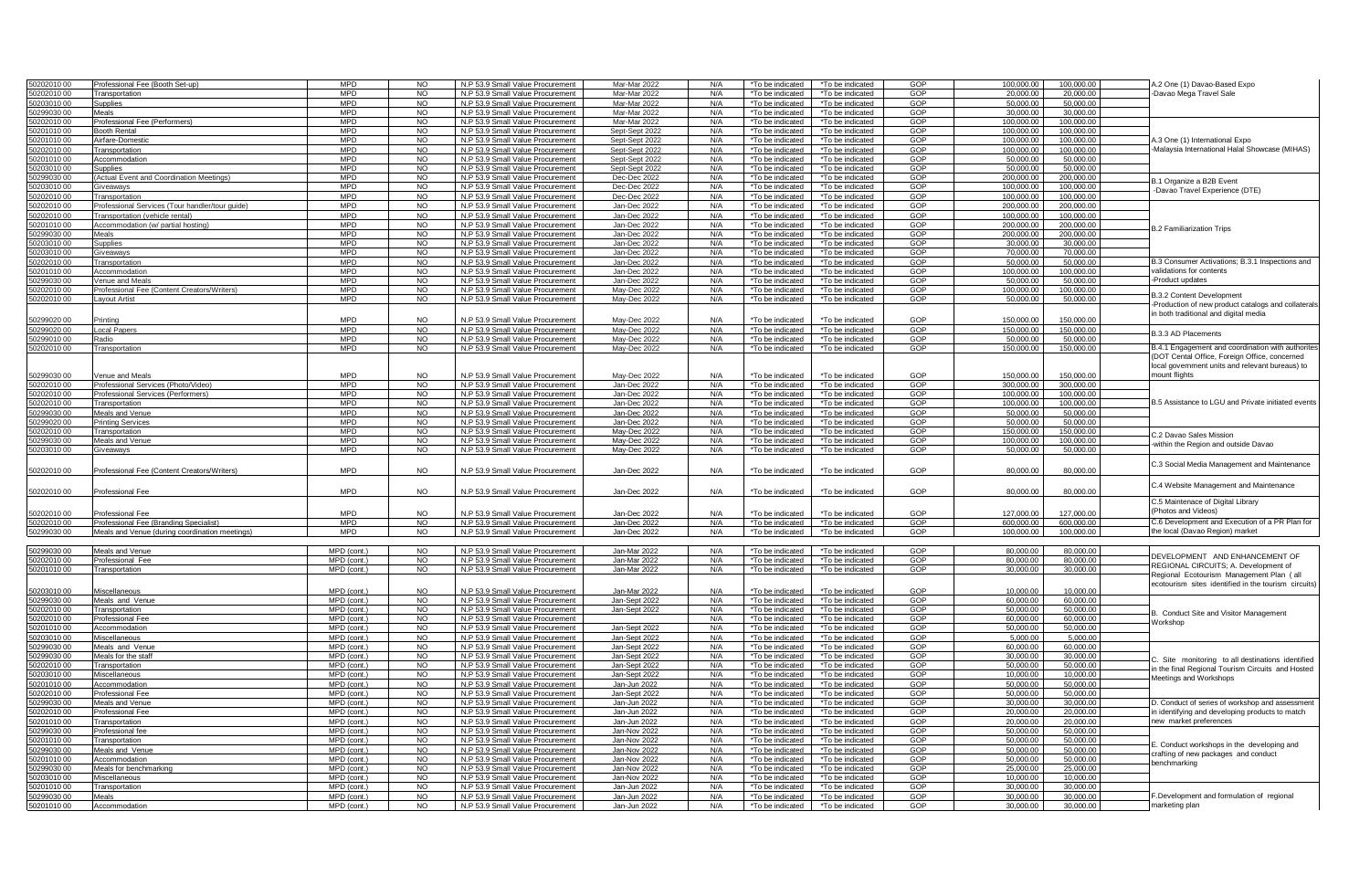|                          | Professional Fee (Booth Set-up)                 | <b>MPD</b>                      | N <sub>O</sub>         | N.P 53.9 Small Value Procurement                                     | Mar-Mar 2022                 | N/A | *To be indicated<br>*To be indicated                                         | GOP        | 100,000.0              | 100,000.00 | A.2 One (1) Davao-Based Expo                                |
|--------------------------|-------------------------------------------------|---------------------------------|------------------------|----------------------------------------------------------------------|------------------------------|-----|------------------------------------------------------------------------------|------------|------------------------|------------|-------------------------------------------------------------|
| 0202010 00<br>1202010.00 | Transportation                                  | <b>MPD</b>                      | N <sub>O</sub>         | N.P 53.9 Small Value Procurement                                     | Mar-Mar 2022                 | N/A | *To be indicated<br>*To be indicated                                         | GOP        | 20.000.00              | 20,000.00  | Davao Mega Travel Sale                                      |
| 203010 00                | Supplies                                        | <b>MPD</b>                      | <b>NO</b>              | N.P 53.9 Small Value Procurement                                     | Mar-Mar 2022                 | N/A | *To be indicated<br>*To be indicated                                         | GOP        | 50.000.00              | 50,000.00  |                                                             |
| 299030.00                |                                                 | <b>MPD</b>                      | <b>NO</b>              |                                                                      | Mar-Mar 2022                 | N/A |                                                                              | GOP        |                        |            |                                                             |
|                          | Meals                                           |                                 |                        | N.P 53.9 Small Value Procurement                                     |                              |     | *To be indicated<br>*To be indicated                                         |            | 30,000.00              | 30,000.00  |                                                             |
| 0202010 00               | Professional Fee (Performers)                   | <b>MPD</b>                      | <b>NO</b>              | N.P 53.9 Small Value Procurement                                     | Mar-Mar 2022                 | N/A | *To be indicated<br>*To be indicated                                         | GOP        | 100,000.00             | 100,000.00 |                                                             |
| 20101000                 | <b>Booth Rental</b>                             | <b>MPD</b>                      | <b>NO</b>              | N.P 53.9 Small Value Procurement                                     | Sept-Sept 2022               | N/A | *To be indicated<br>*To be indicated                                         | GOP        | 100,000.00             | 100,000.00 |                                                             |
| 1201010.00               | Airfare-Domestic                                | <b>MPD</b>                      | N <sub>O</sub>         | N.P 53.9 Small Value Procurement                                     | Sept-Sept 2022               | N/A | *To he indicated<br>*To be indicated                                         | GOP        | 100,000.00             | 100,000.00 | 4.3 One (1) International Expo                              |
| 202010.00                | Transportation                                  | <b>MPD</b>                      | <b>NO</b>              | N.P 53.9 Small Value Procurement                                     | Sept-Sept 2022               | N/A | *To be indicated<br>*To be indicated                                         | GOP        | 100,000.00             | 100.000.00 | Malaysia International Halal Showcase (MIHAS)               |
| 201010 00                | Accommodation                                   | <b>MPD</b>                      | <b>NO</b>              | N.P 53.9 Small Value Procurement                                     | Sept-Sept 2022               | N/A | *To be indicated<br>*To be indicated                                         | GOP        | 50,000.00              | 50,000.00  |                                                             |
| 203010 00                | Supplies                                        | <b>MPD</b>                      | <b>NO</b>              | N.P 53.9 Small Value Procurement                                     | Sept-Sept 2022               | N/A | *To be indicated<br>*To be indicated                                         | GOP        | 50,000.00              | 50,000.00  |                                                             |
| 299030 00                | Actual Event and Coordination Meetings)         | <b>MPD</b>                      | NO                     | N.P 53.9 Small Value Procurement                                     | Dec-Dec 2022                 | N/A | *To be indicated<br>*To be indicated                                         | GOP        | 200,000.00             | 200,000.00 |                                                             |
| 203010.00                | iveaway                                         | <b>MPD</b>                      | N <sub>O</sub>         | N.P 53.9 Small Value Procurement                                     | Dec-Dec 2022                 | N/A | *To be indicated<br>*To be indicated                                         | GOP        | 100.000.00             | 100.000.00 | B.1 Organize a B2B Event                                    |
| 202010 00                | <b>Transportation</b>                           | <b>MPD</b>                      | <b>NO</b>              | N.P 53.9 Small Value Procurement                                     | Dec-Dec 2022                 | N/A | *To be indicated<br>*To be indicated                                         | GOP        | 100.000.0              | 100.000.00 | -Davao Travel Experience (DTE)                              |
| 202010 00                | Professional Services (Tour handler/tour quide) | <b>MPD</b>                      | <b>NO</b>              | N.P 53.9 Small Value Procurement                                     | Jan-Dec 2022                 | N/A | *To be indicated<br>*To be indicated                                         | GOP        | 200.000.0              | 200.000.00 |                                                             |
|                          |                                                 |                                 |                        |                                                                      |                              |     |                                                                              |            |                        |            |                                                             |
| 202010 00                | Transportation (vehicle rental)                 | <b>MPD</b>                      | NO.                    | N.P 53.9 Small Value Procurement                                     | Jan-Dec 2022                 | N/A | *To be indicated<br>*To be indicated                                         | GOP        | 100,000.0              | 100,000.00 |                                                             |
| 201010 00                | Accommodation (w/ partial hosting)              | <b>MPD</b>                      | <b>NO</b>              | N.P 53.9 Small Value Procurement                                     | Jan-Dec 2022                 | N/A | *To be indicated<br>*To be indicated                                         | GOP        | 200,000.00             | 200,000.00 | <b>B.2 Familiarization Trips</b>                            |
| 299030 00                | Meals                                           | <b>MPD</b>                      | <b>NO</b>              | N.P 53.9 Small Value Procurement                                     | Jan-Dec 2022                 | N/A | *To be indicated<br>*To be indicated                                         | GOP        | 200,000.00             | 200,000.00 |                                                             |
| 203010 00                | Supplies                                        | <b>MPD</b>                      | NO.                    | N.P 53.9 Small Value Procurement                                     | Jan-Dec 2022                 | N/A | *To be indicated<br>*To be indicated                                         | GOP        | 30.000.00              | 30.000.00  |                                                             |
| 203010 00                | Giveaways                                       | <b>MPD</b>                      | <b>NO</b>              | N.P 53.9 Small Value Procurement                                     | Jan-Dec 2022                 | N/A | *To be indicated<br>*To be indicated                                         | GOP        | 70.000.00              | 70,000.00  |                                                             |
| 202010 00                | Transportation                                  | <b>MPD</b>                      | <b>NO</b>              | N.P 53.9 Small Value Procurement                                     | Jan-Dec 2022                 | N/A | *To be indicated<br>*To be indicated                                         | GOP        | 50,000.0               | 50,000.00  | 3.3 Consumer Activations; B.3.1 Inspections and             |
| 201010 00                | ccommodation                                    | <b>MPD</b>                      | <b>NO</b>              | N.P 53.9 Small Value Procurement                                     | Jan-Dec 2022                 | N/A | *To be indicated<br>*To be indicated                                         | GOP        | 100,000.0              | 100,000.00 | validations for contents                                    |
| 299030.00                | enue and Meals                                  | <b>MPD</b>                      | <b>NO</b>              | N.P 53.9 Small Value Procurement                                     | Jan-Dec 2022                 | N/A | *To be indicated<br>*To be indicated                                         | GOP        | 50,000.0               | 50.000.00  | Product updates                                             |
| 202010 00                |                                                 | <b>MPD</b>                      | <b>NO</b>              |                                                                      | May-Dec 2022                 | N/A |                                                                              | GOP        | 100,000.00             | 100,000.00 |                                                             |
|                          | 'rofessional Fee (Content Creators/Writers)     |                                 |                        | N.P 53.9 Small Value Procurement                                     |                              |     | *To be indicated<br>*To be indicated                                         |            |                        |            | <b>B.3.2 Content Development</b>                            |
| 202010 00                | avout Artist                                    | <b>MPD</b>                      | <b>NO</b>              | N.P 53.9 Small Value Procurement                                     | Mav-Dec 2022                 | N/A | *To be indicated<br>*To be indicated                                         | GOP        | 50,000.00              | 50.000.00  | Production of new product catalogs and collaterals          |
|                          |                                                 |                                 |                        |                                                                      |                              |     |                                                                              |            |                        |            | in both traditional and digital media                       |
| 0299020 00               | Printino                                        | <b>MPD</b>                      | NO.                    | N.P 53.9 Small Value Procurement                                     | May-Dec 2022                 | N/A | *To be indicated<br>*To be indicated                                         | GOP        | 150,000.00             | 150,000.00 |                                                             |
| 299020 00                | Local Papers                                    | <b>MPD</b>                      | NO                     | N.P 53.9 Small Value Procurement                                     | May-Dec 2022                 | N/A | *To be indicated<br>*To be indicated                                         | GOP        | 150,000.00             | 150,000.00 |                                                             |
| 1299010.00               | <b>Radio</b>                                    | <b>MPD</b>                      | N <sub>O</sub>         | N.P 53.9 Small Value Procurement                                     | May-Dec 2022                 | N/A | *To be indicated<br>*To be indicated                                         | GOP        | 50.000.00              | 50.000.00  | <b>B.3.3 AD Placements</b>                                  |
| 202010 00                | Transportation                                  | <b>MPD</b>                      | <b>NO</b>              | N.P 53.9 Small Value Procurement                                     | Mav-Dec 2022                 | N/A | *To be indicated<br>*To be indicated                                         | GOP        | 150,000.00             | 150.000.00 | B.4.1 Engagement and coordination with authorite            |
|                          |                                                 |                                 |                        |                                                                      |                              |     |                                                                              |            |                        |            |                                                             |
|                          |                                                 |                                 |                        |                                                                      |                              |     |                                                                              |            |                        |            | (DOT Cental Office, Foreign Office, concerned               |
|                          |                                                 |                                 |                        |                                                                      |                              |     |                                                                              |            |                        |            | local government units and relevant bureaus) to             |
| 0299030 00               | enue and Meals                                  | <b>MPD</b>                      | NO.                    | N.P 53.9 Small Value Procurement                                     | May-Dec 2022                 | N/A | *To be indicated<br>*To be indicated                                         | GOP        | 150,000.00             | 150,000.00 | nount flights                                               |
| 202010 00                | Professional Services (Photo/Video)             | <b>MPD</b>                      | <b>NO</b>              | N.P 53.9 Small Value Procurement                                     | Jan-Dec 2022                 | N/A | *To be indicated<br>*To be indicated                                         | GOP        | 300,000.00             | 300,000.00 |                                                             |
| )202010.00               | Professional Services (Performers)              | <b>MPD</b>                      | <b>NO</b>              | N.P 53.9 Small Value Procurement                                     | Jan-Dec 2022                 | N/A | *To be indicated<br>*To be indicated                                         | GOP        | 100,000.00             | 100,000.00 |                                                             |
| 202010 00                | ransportation                                   | <b>MPD</b>                      | <b>NO</b>              | N.P 53.9 Small Value Procurement                                     | Jan-Dec 2022                 | N/A | *To be indicated<br>*To be indicated                                         | GOP        | 100,000.0              | 100,000.00 | B.5 Assistance to LGU and Private initiated events          |
| 299030 00                | Meals and Venue                                 | <b>MPD</b>                      | N <sub>O</sub>         | N.P 53.9 Small Value Procurement                                     | Jan-Dec 2022                 | N/A | *To be indicated<br>*To be indicated                                         | GOP        | 50,000.00              | 50,000,00  |                                                             |
| 299020 00                | Printing Services                               | <b>MPD</b>                      | NO.                    | N.P 53.9 Small Value Procurement                                     | Jan-Dec 2022                 | N/A | *To be indicated<br>*To be indicated                                         | GOP        | 50.000.0               | 50.000.00  |                                                             |
| 202010.00                | Transportation                                  | <b>MPD</b>                      | <b>NO</b>              | N.P 53.9 Small Value Procurement                                     | May-Dec 2022                 | N/A | *To be indicated<br>*To be indicated                                         | GOP        | 150,000.00             | 150,000.00 |                                                             |
|                          |                                                 |                                 |                        |                                                                      |                              | N/A |                                                                              |            |                        |            | 3.2 Davao Sales Mission                                     |
| 00 0299030               | Meals and Venue                                 | <b>MPD</b>                      | <b>NO</b>              | N.P 53.9 Small Value Procurement                                     | May-Dec 2022                 |     | *To be indicated<br>*To be indicated                                         | GOP        | 100,000.00             | 100,000.00 | within the Region and outside Davao                         |
|                          | Giveaways                                       | <b>MPD</b>                      | <b>NO</b>              | N.P 53.9 Small Value Procurement                                     | May-Dec 2022                 | N/A | *To be indicated<br>*To be indicated                                         | GOP        | 50,000.0               | 50,000.00  |                                                             |
| 0203010 00               |                                                 |                                 |                        |                                                                      |                              |     |                                                                              |            |                        |            |                                                             |
|                          |                                                 |                                 |                        |                                                                      |                              |     |                                                                              |            |                        |            |                                                             |
| 0202010 00               | Professional Fee (Content Creators/Writers)     | <b>MPD</b>                      | NO.                    | N.P 53.9 Small Value Procurement                                     | Jan-Dec 2022                 | N/A | *To be indicated                                                             | GOP        | 80,000.00              | 80,000.00  | C.3 Social Media Management and Maintenance                 |
|                          |                                                 |                                 |                        |                                                                      |                              |     | *To be indicated                                                             |            |                        |            |                                                             |
|                          |                                                 |                                 |                        |                                                                      |                              |     |                                                                              |            |                        |            | C.4 Website Management and Maintenance                      |
| 0202010 00               | Professional Fee                                | <b>MPD</b>                      | <b>NO</b>              | N.P 53.9 Small Value Procurement                                     | Jan-Dec 2022                 | N/A | *To be indicated<br>*To be indicated                                         | GOP        | 80,000.00              | 80,000.00  |                                                             |
|                          |                                                 |                                 |                        |                                                                      |                              |     |                                                                              |            |                        |            | C.5 Maintenace of Digital Library                           |
|                          |                                                 | <b>MPD</b>                      | NO.                    |                                                                      |                              | N/A |                                                                              | GOP        | 127,000.00             |            | Photos and Videos)                                          |
| 0202010 00<br>0202010 00 | <b>Professional</b> Fee                         |                                 |                        | N.P 53.9 Small Value Procurement                                     | Jan-Dec 2022                 |     | *To be indicated<br>*To be indicated                                         |            |                        | 127,000.00 |                                                             |
| 1299030.00               | Professional Fee (Branding Specialist)          | <b>MPD</b>                      | NO                     | N.P 53.9 Small Value Procurement                                     | Jan-Dec 2022                 | N/A | *To be indicated<br>*To be indicated                                         | <b>GOP</b> | 600,000.00             | 600,000.00 | C.6 Development and Execution of a PR Plan for              |
|                          | Meals and Venue (during coordination meetings)  | <b>MPD</b>                      | <b>NO</b>              | N.P 53.9 Small Value Procurement                                     | Jan-Dec 2022                 | N/A | *To be indicated<br>*To be indicated                                         | GOP        | 100,000.00             | 100,000.00 | the local (Davao Region) market                             |
|                          |                                                 |                                 |                        |                                                                      |                              |     |                                                                              |            |                        |            |                                                             |
| 0299030 00               | Meals and Venue                                 | MPD (cont.)                     | NO.                    | N.P 53.9 Small Value Procurement                                     | Jan-Mar 2022                 | N/A | *To be indicated<br>*To be indicated                                         | GOP        | 80,000.00              | 80,000.00  | DEVELOPMENT AND ENHANCEMENT OF                              |
| 0202010 00               | Professional Fee                                | MPD (cont.)                     | <b>NO</b>              | N.P 53.9 Small Value Procurement                                     | Jan-Mar 2022                 | N/A | *To be indicated<br>*To be indicated                                         | GOP        | 80,000.00              | 80,000.00  |                                                             |
| 0201010 00               | Transportation                                  | MPD (cont.)                     | $\overline{N}$         | N.P 53.9 Small Value Procurement                                     | Jan-Mar 2022                 | N/A | *To be indicated<br>*To be indicated                                         | GOP        | 30,000,00              | 30,000,00  | REGIONAL CIRCUITS; A. Development of                        |
|                          |                                                 |                                 |                        |                                                                      |                              |     |                                                                              |            |                        |            | Regional Ecotourism Management Plan (all                    |
| 0203010 00               | liscellaneous                                   | MPD (cont.)                     | NO.                    | N.P 53.9 Small Value Procurement                                     | Jan-Mar 2022                 | N/A | *To be indicated<br>*To be indicated                                         | GOP        | 10,000.00              | 10,000.00  | ecotourism sites identified in the tourism circuits)        |
| 0299030 00               | Meals and Venue                                 | MPD (cont.)                     | <b>NO</b>              |                                                                      |                              | N/A |                                                                              | GOP        | 60,000.00              | 60,000.00  |                                                             |
| )202010.00               |                                                 |                                 |                        | N.P 53.9 Small Value Procurement                                     | Jan-Sept 2022                |     | *To be indicated<br>*To be indicated                                         |            |                        |            |                                                             |
|                          | Transportation                                  | MPD (cont.)                     | <b>NO</b>              | N.P 53.9 Small Value Procurement                                     | Jan-Sept 2022                | N/A | *To be indicated<br>*To be indicated                                         | GOP        | 50,000.00              | 50,000.00  | B. Conduct Site and Visitor Management                      |
| 202010 00                | rofessional Fee                                 | MPD (cont.)                     | N <sub>O</sub>         | N.P 53.9 Small Value Procurement                                     |                              | N/A | *To be indicated<br>*To be indicated                                         | GOP        | 60,000.0               | 60,000.00  | Norkshop                                                    |
| 201010 00                | Accommodation                                   | MPD (cont.)                     | <b>NO</b>              | N.P 53.9 Small Value Procurement                                     | Jan-Sept 2022                | N/A | *To be indicated<br>*To be indicated                                         | GOP        | 50,000.0               | 50,000.00  |                                                             |
| 203010 00                | Miscellaneous                                   | MPD (cont.)                     | NO.                    | N.P 53.9 Small Value Procurement                                     | Jan-Sept 2022                | N/A | *To be indicated<br>*To be indicated                                         | GOP        | 5,000.00               | 5,000.00   |                                                             |
| 299030 00                | Meals and Venue                                 | $\overline{MPD}$ (cont.)        | <b>NO</b>              | N.P 53.9 Small Value Procurement                                     | Jan-Sept 2022                | N/A | *To be indicated<br>*To be indicated                                         | GOP        | 60,000.00              | 60,000.00  |                                                             |
| 299030 00                | Meals for the staff                             | MPD (cont.)                     | <b>NO</b>              | N.P 53.9 Small Value Procurement                                     | Jan-Sept 2022                | N/A | *To be indicated<br>*To be indicated                                         | GOP        | 30,000.00              | 30,000.00  |                                                             |
| 202010 00                | Transportation                                  | MPD (cont.)                     | NO.                    | N.P 53.9 Small Value Procurement                                     | Jan-Sept 2022                | N/A | *To be indicated<br>*To be indicated                                         | GOP        | 50.000.00              | 50.000.00  | C. Site monitoring to all destinations identified           |
| 203010.00                | Miscellaneous                                   | MPD (cont.)                     | NO.                    | N.P 53.9 Small Value Procurement                                     | Jan-Sept 2022                | N/A | *To be indicated<br>*To be indicated                                         | GOP        | 10,000.00              | 10,000.00  | the final Regional Tourism Circuits and Hosted              |
| 20101000                 | Accommodation                                   | MPD (cont.)                     | <b>NO</b>              | N.P 53.9 Small Value Procurement                                     | Jan-Jun 2022                 | N/A | *To be indicated<br>*To be indicated                                         | GOP        | 50,000.00              | 50,000.00  | <b>Neetings and Workshops</b>                               |
| 202010.00                | Professional Fee                                | MPD (cont.)                     | <b>NO</b>              | N.P 53.9 Small Value Procurement                                     | Jan-Sept 2022                | N/A | *To be indicated<br>*To be indicated                                         | GOP        | 50,000.00              | 50,000,00  |                                                             |
| 299030 00                |                                                 | MPD (cont.)                     | <b>NO</b>              | N.P 53.9 Small Value Procurement                                     |                              | N/A | *To be indicated                                                             | GOP        | 30,000.0               | 30,000.00  |                                                             |
| 202010 00                | Meals and Venue<br>Professional Fee             | MPD (cont.)                     | NO.                    |                                                                      | Jan-Jun 2022<br>Jan-Jun 2022 | N/A | *To be indicated<br>*To be indicated<br>*To be indicated                     | GOP        | 20.000.00              | 20,000.00  | D. Conduct of series of workshop and assessment             |
|                          |                                                 |                                 |                        | N.P 53.9 Small Value Procurement                                     |                              |     |                                                                              |            |                        |            | identifying and developing products to match                |
| 0201010 00               | Transportation                                  | MPD (cont.)                     | <b>NO</b>              | N.P 53.9 Small Value Procurement                                     | Jan-Jun 2022                 | N/A | *To be indicated<br>*To be indicated                                         | GOP        | 20,000.0               | 20,000.00  | new market preferences                                      |
| 299030 00                | Professional fee                                | MPD (cont.)                     | NO.                    | N.P 53.9 Small Value Procurement                                     | Jan-Nov 2022                 | N/A | *To be indicated<br>*To be indicated                                         | GOP        | 50,000.00              | 50,000.00  |                                                             |
| 201010 00                | Transportation                                  | $\overline{MPD}$ (cont.)        | <b>NO</b>              | N.P 53.9 Small Value Procurement                                     | Jan-Nov 2022                 | N/A | *To be indicated<br>*To be indicated                                         | GOP        | 50,000.00              | 50,000.00  | . Conduct workshops in the developing and                   |
| 0299030 00               | Meals and Venue                                 | MPD (cont.)                     | NO.                    | N.P 53.9 Small Value Procurement                                     | Jan-Nov 2022                 | N/A | *To be indicated<br>*To be indicated                                         | GOP        | 50,000.00              | 50,000.00  |                                                             |
| 0201010 00               | Accommodation                                   | MPD (cont.)                     | <b>NO</b>              | N.P 53.9 Small Value Procurement                                     | Jan-Nov 2022                 | N/A | *To be indicated<br>*To be indicated                                         | GOP        | 50,000.00              | 50,000.00  | crafting of new packages and conduct                        |
| 299030 00                | Meals for benchmarking                          | MPD (cont.)                     | N <sub>O</sub>         | N.P 53.9 Small Value Procurement                                     | Jan-Nov 2022                 | N/A | *To be indicated<br>*To be indicated                                         | GOP        | 25,000.00              | 25,000.00  | benchmarking                                                |
| 203010 00                | <i><b>Aiscellaneous</b></i>                     | MPD (cont.)                     | <b>NO</b>              | N.P 53.9 Small Value Procurement                                     | Jan-Nov 2022                 | N/A | *To be indicated<br>*To be indicated                                         | GOP        | 10,000.00              | 10,000.00  |                                                             |
|                          |                                                 |                                 | <b>NO</b>              |                                                                      |                              | N/A |                                                                              | GOP        |                        | 30.000.00  |                                                             |
| 20101000                 | Transportation<br>Meals                         | $\overline{\text{MPD}}$ (cont.) |                        | N.P 53.9 Small Value Procurement                                     | Jan-Jun 2022<br>Jan-Jun 2022 | N/A | *To be indicated<br>*To be indicated                                         |            | 30,000.00<br>30,000.00 | 30.000.00  |                                                             |
| 0299030 00<br>0201010 00 | Accommodation                                   | MPD (cont.)<br>MPD (cont.)      | <b>NO</b><br><b>NO</b> | N.P 53.9 Small Value Procurement<br>N.P 53.9 Small Value Procurement | Jan-Jun 2022                 | N/A | *To be indicated<br>*To be indicated<br>*To be indicated<br>*To be indicated | GOP<br>GOP | 30,000.00              | 30,000,00  | F.Development and formulation of regional<br>marketing plan |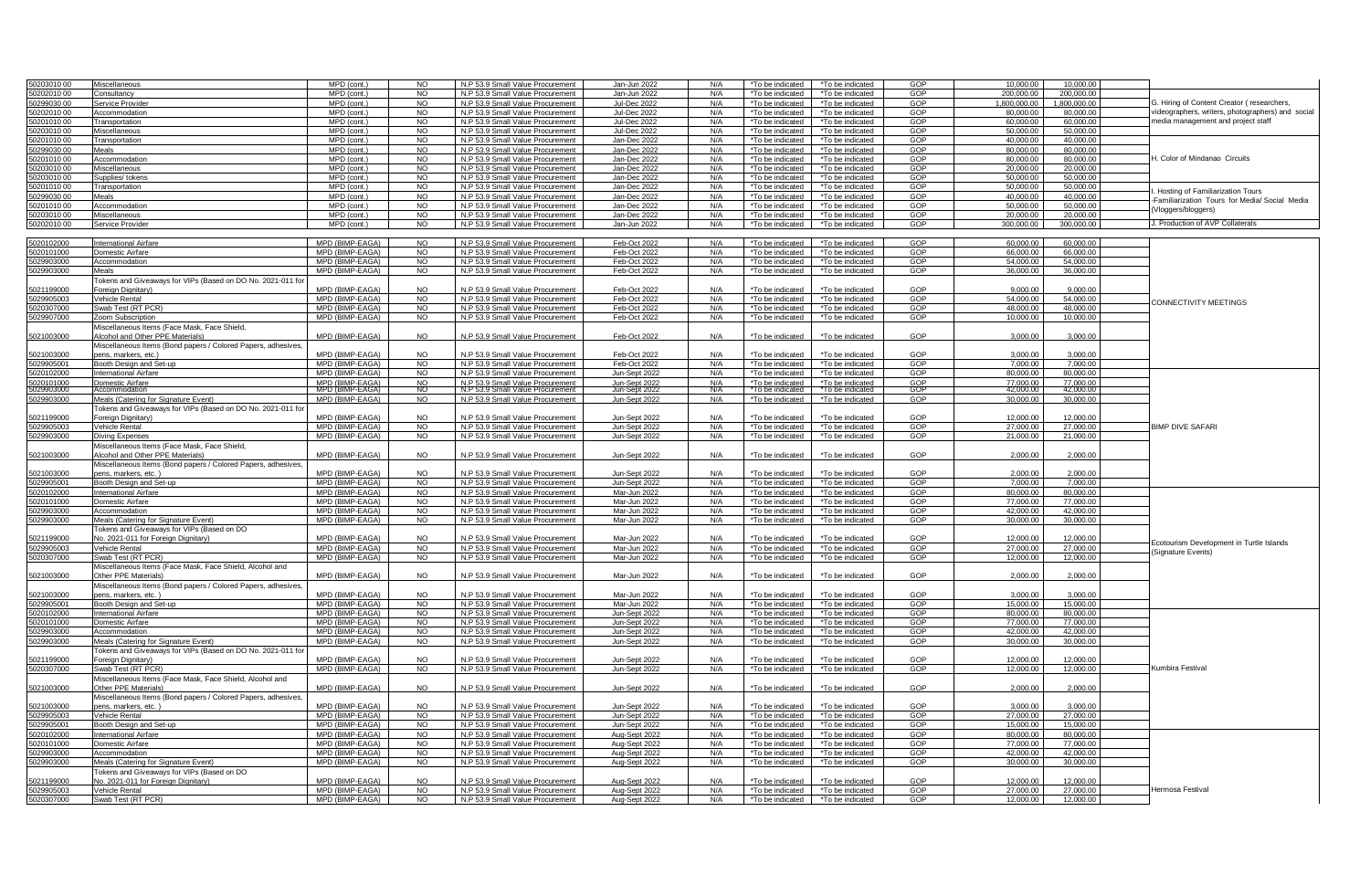| 0203010.00               | Miscellaneous                                                                       | MPD (cont.)                        | NO.                    | N.P 53.9 Small Value Procurement                                     | Jan-Jun 2022                   | N/A        | *To be indicated                     | *To be indicated                     | GOP        | 10.000.00              | 10.000.00              |                                                   |
|--------------------------|-------------------------------------------------------------------------------------|------------------------------------|------------------------|----------------------------------------------------------------------|--------------------------------|------------|--------------------------------------|--------------------------------------|------------|------------------------|------------------------|---------------------------------------------------|
| 0202010 00               | consultancv                                                                         | MPD (cont.)                        | <b>NO</b>              | N.P 53.9 Small Value Procurement                                     | Jan-Jun 2022                   | N/A        | *To be indicated                     | *To be indicated                     | GOP        | 200,000.00             | 200,000.00             |                                                   |
| 0299030 00               | Service Provide                                                                     | MPD (cont.)                        | <b>NO</b>              | N.P 53.9 Small Value Procurement                                     | <b>Jul-Dec 2022</b>            | N/A        | *To be indicated                     | *To be indicated                     | GOP        | 00.000,000,1           | 1,800,000.00           | 3. Hiring of Content Creator (researchers,        |
| 0202010 00               | Accommodation                                                                       | MPD (cont.)                        | <b>NO</b>              | N.P 53.9 Small Value Procurement                                     | Jul-Dec 2022                   | N/A        | *To be indicated                     | *To be indicated                     | GOP        | 80,000.00              | 80,000.00              | videographers, writers, photographers) and social |
| 0201010.00               | Transportation                                                                      | MPD (cont.)                        | <b>NO</b>              | N.P 53.9 Small Value Procurement                                     | <b>Jul-Dec 2022</b>            | N/A        | *To be indicated                     | *To be indicated                     | GOP        | 60,000.00              | 60,000.00              | media management and project staff                |
|                          |                                                                                     | MPD (cont.)                        | N <sub>O</sub>         | N.P 53.9 Small Value Procurement                                     | <b>Jul-Dec 2022</b>            | N/A        |                                      |                                      | GOP        | 50,000.00              | 50,000.00              |                                                   |
| 0203010 00<br>0201010.00 | discellaneous                                                                       | $MPD$ (cont.)                      | N <sub>O</sub>         | N.P 53.9 Small Value Procurement                                     | Jan-Dec 2022                   | N/A        | 'To be indicated                     | *To be indicated<br>*To be indicated | GOP        | 40.000.00              | 40.000.00              |                                                   |
|                          | Transportation                                                                      |                                    |                        |                                                                      |                                |            | *To be indicated                     |                                      |            |                        |                        |                                                   |
| 0299030 00               | Meals                                                                               | MPD (cont.)                        | <b>NO</b>              | N.P 53.9 Small Value Procurement                                     | Jan-Dec 2022                   | N/A        | *To be indicated                     | *To be indicated                     | GOP        | 80,000.00              | 80.000.00              |                                                   |
| 0201010.00               | Accommodation                                                                       | $\overline{MPD}$ (cont.)           | NO.                    | N.P 53.9 Small Value Procurement                                     | Jan-Dec 2022                   | N/A        | *To be indicated                     | *To be indicated                     | GOP        | 80,000.00              | 80,000.00              | 1. Color of Mindanao Circuits                     |
| 0203010.00               | Miscellaneous                                                                       | MPD (cont.)                        | <b>NO</b>              | N.P 53.9 Small Value Procurement                                     | Jan-Dec 2022                   | N/A        | *To be indicated                     | *To be indicated                     | GOP        | 20,000.00              | 20,000.00              |                                                   |
| 0203010 00               | Supplies/ tokens                                                                    | MPD (cont.)                        | <b>NO</b>              | N.P 53.9 Small Value Procurement                                     | Jan-Dec 2022                   | N/A        | *To be indicated                     | *To be indicated                     | GOP        | 50,000.00              | 50,000.00              |                                                   |
| 0201010 00               | Transportation                                                                      | $\overline{MPD}$ (cont.)           | <b>NO</b>              | N.P 53.9 Small Value Procurement                                     | Jan-Dec 2022                   | N/A        | *To be indicated                     | *To be indicated                     | GOP        | 50,000,00              | 50,000.00              | Hosting of Familiarization Tours                  |
| 0299030 00               | Aeals                                                                               | MPD (cont.)                        | N <sub>O</sub>         | N.P 53.9 Small Value Procurement                                     | Jan-Dec 2022                   | N/A        | *To be indicated                     | *To be indicated                     | GOP        | 40,000.00              | 40,000.00              |                                                   |
| 0201010.00               | Accommodation                                                                       | MPD (cont.)                        | <b>NO</b>              | N.P 53.9 Small Value Procurement                                     | Jan-Dec 2022                   | N/A        | *To be indicated                     | *To be indicated                     | GOP        | 50,000.00              | 50,000,00              | Familiarization Tours for Media/ Social Media     |
| 0203010 00               | Miscellaneous                                                                       | MPD (cont.)                        | <b>NO</b>              | N.P 53.9 Small Value Procurement                                     | Jan-Dec 2022                   | N/A        | *To be indicated                     | *To be indicated                     | GOP        | 20,000.00              | 20,000.00              | Vloggers/bloggers)                                |
| 50202010 00              | Service Provider                                                                    | MPD (cont.)                        | <b>NO</b>              | N.P 53.9 Small Value Procurement                                     | Jan-Jun 2022                   | N/A        | *To be indicated                     | *To be indicated                     | GOP        | 300,000.00             | 300,000.00             | J. Production of AVP Collaterals                  |
|                          |                                                                                     |                                    |                        |                                                                      |                                |            |                                      |                                      |            |                        |                        |                                                   |
| 5020102000               | International Airfare                                                               | MPD (BIMP-EAGA)                    | NO.                    | N.P 53.9 Small Value Procurement                                     | Feb-Oct 2022                   | N/A        | *To be indicated                     | *To be indicated                     | GOP        | 60,000.00              | 60,000.00              |                                                   |
|                          |                                                                                     |                                    |                        |                                                                      |                                |            |                                      |                                      |            |                        |                        |                                                   |
| 020101000                | Omestic Airfare                                                                     | MPD (BIMP-EAGA)                    | <b>NO</b>              | N.P 53.9 Small Value Procurement                                     | Feb-Oct 2022                   | N/A        | *To be indicated                     | *To be indicated                     | GOP        | 66,000.00              | 66,000.00              |                                                   |
| 029903000                | Accommodation                                                                       | MPD (BIMP-EAGA)                    | <b>NO</b>              | N.P 53.9 Small Value Procurement                                     | Feb-Oct 2022                   | N/A        | *To be indicated                     | *To be indicated                     | GOP        | 54,000.00              | 54,000.00              |                                                   |
| 029903000                | Meals                                                                               | MPD (BIMP-EAGA)                    | <b>NO</b>              | N.P 53.9 Small Value Procurement                                     | Feb-Oct 2022                   | N/A        | *To be indicated                     | *To be indicated                     | GOP        | 36,000.00              | 36,000.00              |                                                   |
|                          | Tokens and Giveaways for VIPs (Based on DO No. 2021-011 for                         |                                    |                        |                                                                      |                                |            |                                      |                                      |            |                        |                        |                                                   |
| 5021199000               | Foreign Dignitary)                                                                  | MPD (BIMP-EAGA)                    | NO.                    | V.P 53.9 Small Value Procurement                                     | Feb-Oct 2022                   | $N/\Delta$ | 'To be indicated                     | *To be indicated                     | GOP        | 9,000.00               | 9,000.00               |                                                   |
| 5029905003               | Vehicle Rental                                                                      | MPD (BIMP-EAGA)                    | <b>NO</b>              | N.P 53.9 Small Value Procurement                                     | Feb-Oct 2022                   | N/A        | *To be indicated                     | *To be indicated                     | GOP        | 54,000.00              | 54,000.00              |                                                   |
| 5020307000               | Swab Test (RT PCR)                                                                  | MPD (BIMP-EAGA)                    | <b>NO</b>              | N.P 53.9 Small Value Procurement                                     | Feb-Oct 2022                   | N/A        | *To be indicated                     | *To be indicated                     | GOP        | 48,000.00              | 48.000.00              | CONNECTIVITY MEETINGS                             |
| 5029907000               | Zoom Subscription                                                                   | MPD (BIMP-EAGA)                    | <b>NO</b>              | N.P 53.9 Small Value Procurement                                     | Feb-Oct 2022                   | N/A        | *To be indicated                     | *To be indicated                     | GOP        | 10,000.00              | 10,000.00              |                                                   |
|                          | Miscellaneous Items (Face Mask, Face Shield,                                        |                                    |                        |                                                                      |                                |            |                                      |                                      |            |                        |                        |                                                   |
| 5021003000               | <b>Ncohol and Other PPE Materials</b>                                               | MPD (BIMP-EAGA)                    | <b>NO</b>              | N.P 53.9 Small Value Procurement                                     | Feb-Oct 2022                   | N/A        | *To be indicated                     | *To be indicated                     | GOP        | 3.000.00               | 3.000.00               |                                                   |
|                          |                                                                                     |                                    |                        |                                                                      |                                |            |                                      |                                      |            |                        |                        |                                                   |
| 5021003000               | Miscellaneous Items (Bond papers / Colored Papers, adhesives<br>ens, markers, etc.) | MPD (BIMP-EAGA)                    | NO.                    | V.P 53.9 Small Value Procurement                                     | Feb-Oct 2022                   | N/A        | 'To be indicated                     | *To be indicated                     | GOP        | 3,000.00               | 3,000,00               |                                                   |
|                          |                                                                                     |                                    |                        |                                                                      |                                |            |                                      |                                      |            |                        |                        |                                                   |
| 5029905001               | Booth Design and Set-up                                                             | MPD (BIMP-EAGA)                    | <b>NO</b>              | N.P 53.9 Small Value Procurement                                     | Feb-Oct 2022                   | N/A        | *To be indicated                     | *To be indicated                     | GOP        | 7,000.00               | 7,000.00               |                                                   |
| 5020102000               | <b>International Airfare</b>                                                        | MPD (BIMP-EAGA)                    | <b>NO</b>              | N.P 53.9 Small Value Procurement                                     | Jun-Sept 2022                  | N/A        | *To be indicated                     | *To be indicated                     | GOP        | 80,000.00              | 80,000.00              |                                                   |
| 6020101000               | Domestic Airfare                                                                    | MPD (BIMP-EAGA)                    | $\frac{NO}{NO}$        | N.P 53.9 Small Value Procurement                                     | Jun-Sept 2022                  | N/A        | *To be indicated                     | *To be indicated                     | GOP        | 77,000.00              | 77,000.00              |                                                   |
| 502990300                |                                                                                     | MPD (BIMP-EAGA)                    |                        | N.P 53.9 Small Value Procurement                                     | Jun-Sept 202                   | N/A        | *To be indicated                     | *To be indicated                     | GOP        | 42.000.00              | 42,000.00              |                                                   |
| 029903000                | Meals (Catering for Signature Event)                                                | MPD (BIMP-EAGA)                    | NO                     | N.P 53.9 Small Value Procurement                                     | Jun-Sept 2022                  | N/A        | *To be indicated                     | *To be indicated                     | GOP        | 30,000,00              | 30,000.00              |                                                   |
|                          | okens and Giveaways for VIPs (Based on DO No. 2021-011 for                          |                                    |                        |                                                                      |                                |            |                                      |                                      |            |                        |                        |                                                   |
| 5021199000               | Foreign Dignitary)                                                                  | MPD (BIMP-EAGA)                    | NO.                    | <b>V.P 53.9 Small Value Procurement</b>                              | Jun-Sept 2022                  | N/A        | 'To be indicated                     | *To be indicated                     | GOP        | 12,000.00              | 12.000.00              |                                                   |
| 5029905003               | Vehicle Rental                                                                      | MPD (BIMP-EAGA)                    | <b>NO</b>              | N.P 53.9 Small Value Procurement                                     | Jun-Sept 2022                  | N/A        | *To be indicated                     | *To be indicated                     | GOP        | 27,000.00              | 27,000.00              | <b>BIMP DIVE SAFARI</b>                           |
| 5029903000               | <b>Diving Expenses</b>                                                              | MPD (BIMP-EAGA)                    | <b>NO</b>              | N.P 53.9 Small Value Procurement                                     | Jun-Sept 2022                  | N/A        | *To be indicated                     | *To be indicated                     | GOP        | 21,000.00              | 21,000.00              |                                                   |
|                          | <i>A</i> iscellaneous Items (Face Mask, Face Shield,                                |                                    |                        |                                                                      |                                |            |                                      |                                      |            |                        |                        |                                                   |
| 5021003000               | <b>Ncohol and Other PPE Materials</b>                                               | MPD (BIMP-EAGA)                    | <b>NO</b>              | N.P 53.9 Small Value Procurement                                     | Jun-Sept 2022                  | N/A        | 'To be indicated                     | *To be indicated                     | GOP        | 2,000.00               | 2,000.00               |                                                   |
|                          | Miscellaneous Items (Bond papers / Colored Papers, adhesives                        |                                    |                        |                                                                      |                                |            |                                      |                                      |            |                        |                        |                                                   |
| 5021003000               | ens, markers, etc.                                                                  | MPD (BIMP-EAGA)                    | <b>NO</b>              | N.P 53.9 Small Value Procurement                                     | Jun-Sept 2022                  | N/A        | 'To be indicated                     | *To be indicated                     | GOP        | 2,000.00               | 2.000.00               |                                                   |
| 5029905001               | Booth Desian and Set-up                                                             | MPD (BIMP-EAGA)                    | <b>NO</b>              | N.P 53.9 Small Value Procurement                                     | Jun-Sept 2022                  | N/A        | *To be indicated                     | *To be indicated                     | GOP        | 7,000.00               | 7,000.00               |                                                   |
|                          |                                                                                     | MPD (BIMP-EAGA)                    |                        |                                                                      |                                |            |                                      |                                      | GOP        |                        |                        |                                                   |
| 5020102000               | International Airfare                                                               |                                    | <b>NO</b>              | N.P 53.9 Small Value Procurement                                     | Mar-Jun 2022                   | N/A        | *To be indicated                     | *To be indicated                     |            | 80,000.00              | 80,000,00              |                                                   |
| 020101000                | Omestic Airfare                                                                     | MPD (BIMP-EAGA)                    | N <sub>O</sub>         | N.P 53.9 Small Value Procurement                                     | Mar-Jun 2022                   | N/A        | *To be indicated                     | *To be indicated                     | GOP        | 77,000.00              | 77,000.00              |                                                   |
| 029903000                | Accommodation                                                                       | MPD (BIMP-EAGA)                    | <b>NO</b>              | N.P 53.9 Small Value Procurement                                     | Mar-Jun 2022                   | N/A        | *To be indicated                     | *To be indicated                     | GOP        | 42.000.00              | 42.000.00              |                                                   |
| 5029903000               | Meals (Catering for Signature Event)                                                | MPD (BIMP-EAGA)                    | <b>NO</b>              | N.P 53.9 Small Value Procurement                                     | Mar-Jun 2022                   | N/A        | *To be indicated                     | *To be indicated                     | GOP        | 30,000.00              | 30,000.00              |                                                   |
|                          | okens and Giveaways for VIPs (Based on DO                                           |                                    |                        |                                                                      |                                |            |                                      |                                      |            |                        |                        |                                                   |
| 5021199000               | Vo. 2021-011 for Foreign Dignitary)                                                 | MPD (BIMP-EAGA)                    | <b>NO</b>              | N.P 53.9 Small Value Procurement                                     | Mar-Jun 2022                   | N/A        | 'To be indicated                     | *To be indicated                     | GOP        | 12,000.00              | 12,000.00              | Ecotourism Development in Turtle Islands          |
| 029905003                | Vehicle Rental                                                                      | MPD (BIMP-EAGA)                    | <b>NO</b>              | N.P 53.9 Small Value Procurement                                     | Mar-Jun 2022                   | N/A        | *To be indicated                     | *To be indicated                     | GOP        | 27,000.00              | 27,000.00              |                                                   |
| 5020307000               | Swab Test (RT PCR)                                                                  | MPD (BIMP-EAGA)                    | $\overline{N}$         | N.P 53.9 Small Value Procurement                                     | Mar-Jun 2022                   | N/A        | *To be indicated                     | *To be indicated                     | GOP        | 12,000.00              | 12,000.00              | Signature Events)                                 |
|                          | Miscellaneous Items (Face Mask, Face Shield, Alcohol and                            |                                    |                        |                                                                      |                                |            |                                      |                                      |            |                        |                        |                                                   |
| 5021003000               | ther PPE Materials)                                                                 | MPD (BIMP-EAGA)                    | <b>NO</b>              | N.P 53.9 Small Value Procurement                                     | Mar-Jun 2022                   | N/A        | *To be indicated                     | *To be indicated                     | GOP        | 2,000.00               | 2,000.00               |                                                   |
|                          |                                                                                     |                                    |                        |                                                                      |                                |            |                                      |                                      |            |                        |                        |                                                   |
|                          | Miscellaneous Items (Bond papers / Colored Papers, adhesives,                       |                                    | N <sub>O</sub>         |                                                                      |                                |            |                                      |                                      | GOP        | 3,000.00               | 3,000.00               |                                                   |
| 5021003000               | ens, markers, etc.                                                                  | MPD (BIMP-EAGA)                    |                        | N.P 53.9 Small Value Procurement                                     | Mar-Jun 2022                   |            | *To be indicated                     | *To be indicated                     |            |                        |                        |                                                   |
| 5029905001               | Booth Design and Set-up                                                             | MPD (BIMP-EAGA)                    | <b>NO</b>              | N.P 53.9 Small Value Procurement                                     | Mar-Jun 2022                   | N/A        | *To be indicated                     | *To be indicated                     | GOP        | 15.000.00              | 15.000.00              |                                                   |
| 5020102000               | <b>International Airfare</b>                                                        | MPD (BIMP-EAGA)                    | <b>NO</b>              | N.P 53.9 Small Value Procurement                                     | Jun-Sept 2022                  | N/A        | *To be indicated                     | *To_be_indicated                     | GOP        | 80.000.00              | 80.000.00              |                                                   |
| 020101000                | Domestic Airfare                                                                    | MPD (BIMP-EAGA)                    | <b>NO</b>              | N.P 53.9 Small Value Procurement                                     | Jun-Sept 2022                  | N/A        | *To be indicated                     | *To be indicated                     | GOP        | 77,000.00              | 77,000.00              |                                                   |
| 029903000                | Accommodation                                                                       | MPD (BIMP-EAGA)                    | <b>NO</b>              | N.P 53.9 Small Value Procurement                                     | Jun-Sept 2022                  | N/A        | *To be indicated                     | *To be indicated                     | GOP        | 42,000.00              | 42,000.00              |                                                   |
| 029903000                | Meals (Catering for Signature Event)                                                | MPD (BIMP-EAGA)                    | <b>NO</b>              | N.P 53.9 Small Value Procurement                                     | Jun-Sept 2022                  | N/A        | *To be indicated                     | *To be indicated                     | GOP        | 30,000.00              | 30,000.00              |                                                   |
|                          | okens and Giveaways for VIPs (Based on DO No. 2021-011 for                          |                                    |                        |                                                                      |                                |            |                                      |                                      |            |                        |                        |                                                   |
| 021199000                | Foreian Dianitary)                                                                  | MPD (BIMP-FAGA)                    | NO.                    | I.P 53.9 Small Value Procurement                                     | Jun-Sept 2022                  | N/A        | 'To be indicated                     | *To be indicated                     | GOP        | 12,000.00              | 12.000.00              |                                                   |
| 5020307000               | Swab Test (RT PCR)                                                                  | MPD (BIMP-EAGA)                    | <b>NO</b>              | N.P 53.9 Small Value Procurement                                     | Jun-Sept 2022                  | N/A        | *To be indicated                     | *To be indicated                     | GOP        | 12,000.00              | 12,000.00              | Kumbira Festival                                  |
|                          | Miscellaneous Items (Face Mask, Face Shield, Alcohol and                            |                                    |                        |                                                                      |                                |            |                                      |                                      |            |                        |                        |                                                   |
| 5021003000               | Other PPE Materials                                                                 | MPD (BIMP-EAGA)                    | <b>NO</b>              | N.P 53.9 Small Value Procurement                                     | Jun-Sept 2022                  | N/A        | 'To be indicated                     | *To be indicated                     | GOP        | 2,000.00               | 2,000.00               |                                                   |
|                          |                                                                                     |                                    |                        |                                                                      |                                |            |                                      |                                      |            |                        |                        |                                                   |
| 5021003000               | Miscellaneous Items (Bond papers / Colored Papers, adhesives<br>ens, markers, etc.  | MPD (BIMP-EAGA)                    | <b>NO</b>              | N.P 53.9 Small Value Procurement                                     |                                | N/A        | *To be indicated                     | *To be indicated                     | GOP        | 3.000.00               | 3.000.00               |                                                   |
|                          |                                                                                     |                                    |                        |                                                                      | Jun-Sept 2022                  |            |                                      |                                      |            |                        |                        |                                                   |
| 5029905003               | Vehicle Rental                                                                      | MPD (BIMP-EAGA)                    | <b>NO</b>              | N.P 53.9 Small Value Procurement                                     | Jun-Sept 2022                  | N/A        | *To be indicated                     | *To be indicated                     | GOP        | 27,000.00              | 27,000.00              |                                                   |
| 5029905001               | Booth Design and Set-up                                                             | MPD (BIMP-EAGA)                    | <b>NO</b>              | N.P 53.9 Small Value Procurement                                     | Jun-Sept 2022                  | N/A        | *To be indicated                     | *To be indicated                     | GOP        | 15,000.00              | 15,000.00              |                                                   |
| 020102000                | <b>International Airfare</b>                                                        | MPD (BIMP-EAGA)                    | <b>NO</b>              | N.P 53.9 Small Value Procurement                                     | Aug-Sept 2022                  | N/A        | *To be indicated                     | *To be indicated                     | GOP        | 80,000.00              | 80,000.00              |                                                   |
| 5020101000               | Domestic Airfare                                                                    | MPD (BIMP-EAGA)                    | <b>NO</b>              | N.P 53.9 Small Value Procurement                                     | Aug-Sept 2022                  | N/A        | *To be indicated                     | *To be indicated                     | GOP        | 77,000.00              | 77,000.00              |                                                   |
| 029903000                | Accommodation                                                                       | MPD (BIMP-EAGA)                    | <b>NO</b>              | N.P 53.9 Small Value Procurement                                     | Aug-Sept 2022                  | N/A        | *To be indicated                     | *To be indicated                     | GOP        | 42,000.00              | 42,000.00              |                                                   |
|                          |                                                                                     |                                    |                        |                                                                      | Aug-Sept 2022                  | N/A        | *To be indicated                     | *To be indicated                     | GOP        | 30,000.00              | 30,000.00              |                                                   |
| 5029903000               | Meals (Catering for Signature Event)                                                | MPD (BIMP-EAGA)                    | <b>NO</b>              |                                                                      |                                |            |                                      |                                      |            |                        |                        |                                                   |
|                          |                                                                                     |                                    |                        | N.P 53.9 Small Value Procurement                                     |                                |            |                                      |                                      |            |                        |                        |                                                   |
|                          | okens and Giveaways for VIPs (Based on DO                                           |                                    | NO.                    |                                                                      |                                | N/A        |                                      |                                      |            |                        |                        |                                                   |
| 5021199000               | lo. 2021-011 for Foreign Dignitary)                                                 | MPD (BIMP-EAGA)                    |                        | N.P 53.9 Small Value Procurement                                     | Aug-Sept 2022                  |            | 'To be indicated                     | *To be indicated                     | GOP        | 12,000.00              | 12,000.00              |                                                   |
| 5029905003<br>5020307000 | Vehicle Rental<br>Swab Test (RT PCR)                                                | MPD (BIMP-EAGA)<br>MPD (BIMP-EAGA) | <b>NO</b><br><b>NO</b> | N.P 53.9 Small Value Procurement<br>N.P 53.9 Small Value Procurement | Aug-Sept 2022<br>Aug-Sept 2022 | N/A<br>N/A | *To be indicated<br>*To be indicated | *To be indicated<br>*To be indicated | GOP<br>GOP | 27,000.00<br>12,000.00 | 27,000.00<br>12,000.00 | Hermosa Festival                                  |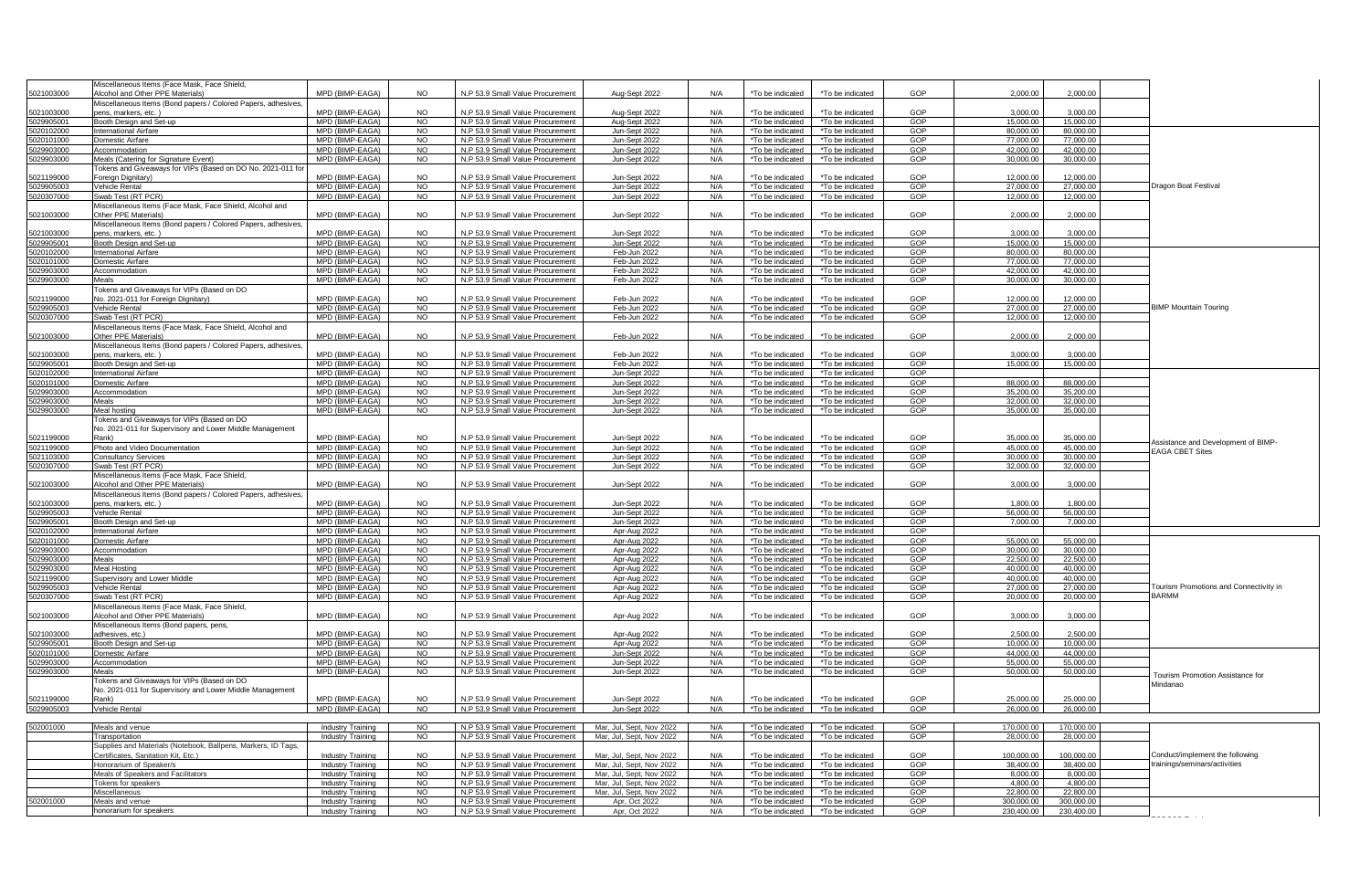|            | Miscellaneous Items (Face Mask, Face Shield,                  |                                               |                             |                                                                      |                                |            |                                      |                                      |            |                          |                          |                                              |
|------------|---------------------------------------------------------------|-----------------------------------------------|-----------------------------|----------------------------------------------------------------------|--------------------------------|------------|--------------------------------------|--------------------------------------|------------|--------------------------|--------------------------|----------------------------------------------|
| 5021003000 | Alcohol and Other PPE Materials)                              | MPD (BIMP-EAGA)                               | NO.                         | N.P 53.9 Small Value Procurement                                     | Aug-Sept 2022                  | N/A        | *To be indicated                     | *To be indicated                     | GOP        | 2.000.00                 | 2.000.00                 |                                              |
|            | Miscellaneous Items (Bond papers / Colored Papers, adhesives, |                                               |                             |                                                                      |                                |            |                                      |                                      |            |                          |                          |                                              |
| 5021003000 | ens. markers. etc.)                                           | MPD (BIMP-FAGA)                               | NO                          | N.P 53.9 Small Value Procurement                                     | Aug-Sept 2022                  | N/A        | *To be indicated                     | *To be indicated                     | GOP        | 3.000.00                 | 3,000,00                 |                                              |
| 5029905001 | Booth Design and Set-up                                       | MPD (BIMP-EAGA)                               | <b>NO</b>                   | N.P 53.9 Small Value Procurement                                     | Aug-Sept 2022                  | N/A        | *To be indicated                     | *To be indicated                     | GOP        | 15,000.00                | 15,000.00                |                                              |
| 5020102000 | International Airfare                                         | MPD (BIMP-EAGA)                               | <b>NO</b>                   | N.P 53.9 Small Value Procurement                                     | Jun-Sept 2022                  | N/A        | *To be indicated                     | *To be indicated                     | GOP        | 80,000.00                | 80,000.00                |                                              |
|            |                                                               | MPD (BIMP-EAGA)                               |                             |                                                                      |                                |            |                                      |                                      |            |                          |                          |                                              |
| 5020101000 | Domestic Airfare                                              |                                               | NO                          | N.P 53.9 Small Value Procurement                                     | Jun-Sept 2022                  | N/A        | *To be indicated                     | *To be indicated                     | GOP        | 77,000.00                | 77,000.00                |                                              |
| 5029903000 | Accommodation                                                 | MPD (BIMP-EAGA)                               | NO                          | N.P 53.9 Small Value Procurement                                     | Jun-Sept 2022                  | N/A        | *To be indicated                     | *To be indicated                     | GOP        | 42.000.00                | 42.000.00                |                                              |
| 5029903000 | Meals (Catering for Signature Event)                          | MPD (BIMP-EAGA)                               | <b>NO</b>                   | N.P 53.9 Small Value Procurement                                     | Jun-Sept 2022                  | N/A        | *To be indicated                     | *To be indicated                     | GOP        | 30,000.00                | 30,000.00                |                                              |
|            | okens and Giveaways for VIPs (Based on DO No. 2021-011 fo     |                                               |                             |                                                                      |                                |            |                                      |                                      |            |                          |                          |                                              |
| 5021199000 | oreign Dignitary)                                             | MPD (BIMP-EAGA)                               | NO.                         | N.P 53.9 Small Value Procurement                                     | Jun-Sept 2022                  | N/A        | *To be indicated                     | *To be indicated                     | GOP        | 12.000.00                | 12,000.00                |                                              |
| 5029905003 | Vehicle Rental                                                | MPD (BIMP-EAGA)                               | NO                          | N.P 53.9 Small Value Procurement                                     | Jun-Sept 2022                  | N/A        | *To be indicated                     | *To be indicated                     | GOP        | 27,000.00                | 27,000.00                | Dragon Boat Festival                         |
| 5020307000 | Swab Test (RT PCR)                                            | MPD (BIMP-EAGA)                               | <b>NO</b>                   | N.P 53.9 Small Value Procurement                                     | Jun-Sept 2022                  | N/A        | *To be indicated                     | *To be indicated                     | GOP        | 12,000.00                | 12,000,00                |                                              |
|            | Miscellaneous Items (Face Mask, Face Shield, Alcohol and      |                                               |                             |                                                                      |                                |            |                                      |                                      |            |                          |                          |                                              |
|            | Other PPE Materials)                                          | MPD (BIMP-EAGA)                               | <b>NO</b>                   |                                                                      |                                |            |                                      |                                      | GOP        |                          |                          |                                              |
| 5021003000 |                                                               |                                               |                             | N.P 53.9 Small Value Procurement                                     | Jun-Sept 2022                  | N/A        | *To be indicated                     | *To be indicated                     |            | 2,000.00                 | 2,000.00                 |                                              |
|            | Miscellaneous Items (Bond papers / Colored Papers, adhesives  |                                               |                             |                                                                      |                                |            |                                      |                                      |            |                          |                          |                                              |
| 5021003000 | ens. markers. etc.)                                           | MPD (BIMP-EAGA)                               | <b>NO</b>                   | N.P 53.9 Small Value Procurement                                     | Jun-Sept 2022                  | N/A        | *To be indicated                     | *To be indicated                     | GOP        | 3.000.00                 | 3.000.00                 |                                              |
| 5029905001 | Booth Design and Set-up                                       | MPD (BIMP-EAGA)                               | <b>NO</b>                   | N.P 53.9 Small Value Procurement                                     | Jun-Sept 2022                  | N/A        | *To be indicated                     | *To be indicated                     | GOP        | 15,000.00                | 15,000.00                |                                              |
| 5020102000 | nternational Airfare                                          | MPD (BIMP-EAGA)                               | <b>NO</b>                   | N.P 53.9 Small Value Procurement                                     | Feb-Jun 2022                   | N/A        | *To be indicated                     | *To be indicated                     | GOP        | 80,000.00                | 80,000.00                |                                              |
| 5020101000 | Domestic Airfare                                              | MPD (BIMP-EAGA)                               | <b>NO</b>                   | N.P 53.9 Small Value Procurement                                     | Feb-Jun 2022                   | N/A        | *To be indicated                     | *To be indicated                     | GOP        | 77,000.00                | 77,000.00                |                                              |
| 5029903000 | Accommodation                                                 | MPD (BIMP-EAGA)                               | <b>NO</b>                   | N.P 53.9 Small Value Procurement                                     | Feb-Jun 2022                   | N/A        | *To be indicated                     | *To be indicated                     | GOP        | 42,000.00                | 42.000.00                |                                              |
| 5029903000 | Meals                                                         | MPD (BIMP-EAGA)                               | <b>NO</b>                   | N.P 53.9 Small Value Procurement                                     | Feb-Jun 2022                   | N/A        | *To be indicated                     | *To be indicated                     | GOP        | 30,000.00                | 30,000.00                |                                              |
|            |                                                               |                                               |                             |                                                                      |                                |            |                                      |                                      |            |                          |                          |                                              |
|            | okens and Giveaways for VIPs (Based on DO                     | MPD (BIMP-EAGA)                               |                             |                                                                      |                                | N/A        |                                      |                                      | GOP        |                          |                          |                                              |
| 5021199000 | lo. 2021-011 for Foreign Dignitary)                           |                                               | NO.                         | N.P 53.9 Small Value Procurement                                     | Feb-Jun 2022                   |            | *To be indicated                     | *To be indicated                     |            | 12,000.00                | 12.000.00                |                                              |
| 5029905003 | ehicle Rental                                                 | MPD (BIMP-EAGA)                               | NO                          | N.P 53.9 Small Value Procurement                                     | Feb-Jun 2022                   | N/A        | *To be indicated                     | *To be indicated                     | <b>GOP</b> | 27,000.00                | 27,000.00                | <b>BIMP Mountain Touring</b>                 |
| 5020307000 | Swab Test (RT PCR)                                            | MPD (BIMP-EAGA)                               | <b>NO</b>                   | N.P 53.9 Small Value Procurement                                     | Feb-Jun 2022                   | N/A        | *To be indicated                     | *To be indicated                     | GOP        | 12,000.00                | 12,000.00                |                                              |
|            | Miscellaneous Items (Face Mask, Face Shield, Alcohol and      |                                               |                             |                                                                      |                                |            |                                      |                                      |            |                          |                          |                                              |
| 5021003000 | Other PPF Materials)                                          | MPD (BIMP-EAGA)                               | NO.                         | N.P 53.9 Small Value Procurement                                     | Feb-Jun 2022                   | N/A        | *To be indicated                     | *To he indicated                     | GOP        | 2.000.00                 | 2.000.00                 |                                              |
|            | Miscellaneous Items (Bond papers / Colored Papers, adhesives  |                                               |                             |                                                                      |                                |            |                                      |                                      |            |                          |                          |                                              |
| 5021003000 | ens, markers, etc.)                                           | MPD (BIMP-EAGA)                               | <b>NO</b>                   | N.P 53.9 Small Value Procurement                                     | Feb-Jun 2022                   | N/A        | *To be indicated                     | *To be indicated                     | GOP        | 3,000.00                 | 3.000.00                 |                                              |
|            |                                                               | MPD (BIMP-EAGA)                               |                             |                                                                      |                                |            |                                      |                                      |            |                          |                          |                                              |
| 5029905001 | Booth Design and Set-up                                       | MPD (BIMP-EAGA)                               | <b>NO</b>                   | N.P 53.9 Small Value Procurement                                     | Feb-Jun 2022                   | N/A        | *To be indicated                     | *To be indicated                     | GOP        | 15,000.00                | 15,000.00                |                                              |
| 5020102000 | nternational Airfare                                          |                                               | <b>NO</b>                   | N.P 53.9 Small Value Procurement                                     | Jun-Sept 2022                  | N/A        | *To be indicated                     | *To be indicated                     | GOP        |                          |                          |                                              |
| 5020101000 | Domestic Airfare                                              | MPD (BIMP-FAGA)                               | <b>NO</b>                   | N.P 53.9 Small Value Procurement                                     | Jun-Sept 2022                  | N/A        | *To be indicated                     | *To be indicated                     | GOP        | 88,000.00                | 88,000,00                |                                              |
| 5029903000 | Accommodation                                                 | MPD (BIMP-EAGA)                               | <b>NO</b>                   | N.P 53.9 Small Value Procurement                                     | Jun-Sept 2022                  | N/A        | *To be indicated                     | *To be indicated                     | GOP        | 35,200.00                | 35,200.00                |                                              |
| 5029903000 | Meals                                                         | MPD (BIMP-EAGA)                               | <b>NO</b>                   | N.P 53.9 Small Value Procurement                                     | Jun-Sept 2022                  | N/A        | *To be indicated                     | *To be indicated                     | GOP        | 32.000.00                | 32,000.00                |                                              |
| 5029903000 | Meal hosting                                                  | MPD (BIMP-EAGA)                               | <b>NO</b>                   | N.P 53.9 Small Value Procurement                                     | Jun-Sept 2022                  | N/A        | *To be indicated                     | *To be indicated                     | GOP        | 35,000.00                | 35,000.00                |                                              |
|            | Tokens and Giveaways for VIPs (Based on DO                    |                                               |                             |                                                                      |                                |            |                                      |                                      |            |                          |                          |                                              |
|            | No. 2021-011 for Supervisory and Lower Middle Management      |                                               |                             |                                                                      |                                |            |                                      |                                      |            |                          |                          |                                              |
| 5021199000 | Rank)                                                         | MPD (BIMP-EAGA)                               | NO.                         | N.P 53.9 Small Value Procurement                                     |                                | N/A        | *To be indicated                     | *To be indicated                     | GOP        | 35,000.00                | 35,000.00                |                                              |
|            |                                                               | MPD (BIMP-FAGA)                               |                             |                                                                      | Jun-Sept 2022                  |            |                                      |                                      |            |                          |                          | Assistance and Development of BIMP-          |
| 5021199000 | Photo and Video Documentation                                 |                                               | NO.                         | N.P 53.9 Small Value Procurement                                     | Jun-Sept 2022                  | N/A        | *To be indicated                     | *To be indicated                     | GOP        | 45,000.00                | 45.000.00                | <b>EAGA CBET Sites</b>                       |
| 5021103000 | Consultancy Services                                          | MPD (BIMP-EAGA)                               | NO                          | N.P 53.9 Small Value Procurement                                     | Jun-Sept 2022                  | N/A        | *To be indicated                     | *To be indicated                     | GOP        | 30.000.00                | 30.000.00                |                                              |
| 5020307000 | Swab Test (RT PCR)                                            | MPD (BIMP-EAGA)                               | <b>NO</b>                   | N.P 53.9 Small Value Procurement                                     | Jun-Sept 2022                  | N/A        | *To be indicated                     | *To be indicated                     | GOP        | 32,000.00                | 32,000.00                |                                              |
|            | Miscellaneous Items (Face Mask, Face Shield,                  |                                               |                             |                                                                      |                                |            |                                      |                                      |            |                          |                          |                                              |
| 5021003000 | <b>Icohol and Other PPE Materials</b>                         | MPD (BIMP-EAGA)                               | NO.                         | N.P 53.9 Small Value Procurement                                     | Jun-Sept 2022                  | N/A        | *To be indicated                     | *To be indicated                     | GOP        | 3.000.00                 | 3.000.00                 |                                              |
|            | Miscellaneous Items (Bond papers / Colored Papers, adhesives  |                                               |                             |                                                                      |                                |            |                                      |                                      |            |                          |                          |                                              |
| 5021003000 | ens. markers. etc.)                                           | MPD (BIMP-EAGA)                               |                             | N.P 53.9 Small Value Procurement                                     | Jun-Sept 2022                  | N/A        |                                      | *To be indicated                     | GOP        |                          |                          |                                              |
| 5029905003 |                                                               |                                               |                             |                                                                      |                                |            |                                      |                                      |            |                          |                          |                                              |
|            |                                                               |                                               | <b>NO</b>                   |                                                                      |                                |            | *To be indicated                     |                                      |            | 1,800.00                 | 1,800.00                 |                                              |
|            | Vehicle Rental                                                | MPD (BIMP-EAGA)                               | <b>NO</b>                   | N.P 53.9 Small Value Procurement                                     | Jun-Sept 2022                  | N/A        | *To be indicated                     | *To be indicated                     | GOP        | 56,000.00                | 56,000.00                |                                              |
| 5029905001 | Booth Design and Set-up                                       | MPD (BIMP-EAGA)                               | <b>NO</b>                   | N P 53.9 Small Value Procurement                                     | Jun-Sept 2022                  | N/A        | *To be indicated                     | *To be indicated                     | GOP        | 7.000.00                 | 7,000,00                 |                                              |
| 5020102000 | <b>nternational Airfare</b>                                   | MPD (BIMP-EAGA)                               | <b>NO</b>                   | N.P 53.9 Small Value Procurement                                     | Apr-Aug 2022                   | N/A        | *To be indicated                     | *To be indicated                     | GOP        |                          |                          |                                              |
| 5020101000 | Oomestic Airfare                                              | MPD (BIMP-EAGA)                               | <b>NO</b>                   | N.P 53.9 Small Value Procurement                                     | Apr-Aug 2022                   | N/A        | *To be indicated                     | *To be indicated                     | GOP        | 55.000.00                | 55,000.00                |                                              |
| 5029903000 | Accommodation                                                 | MPD (BIMP-EAGA)                               | <b>NO</b>                   | N.P 53.9 Small Value Procurement                                     | Apr-Aug 2022                   | N/A        | *To be indicated                     | *To be indicated                     | GOP        | 30,000.00                | 30.000.00                |                                              |
|            | Meals                                                         | MPD (BIMP-EAGA)                               | <b>NO</b>                   |                                                                      |                                | N/A        |                                      |                                      | GOP        |                          |                          |                                              |
| 5029903000 |                                                               |                                               |                             | N.P 53.9 Small Value Procurement                                     | Apr-Aug 2022                   |            | *To be indicated                     | *To be indicated                     |            | 22,500.00                | 22,500.00                |                                              |
| 5029903000 | Meal Hosting                                                  | MPD (BIMP-EAGA)                               | <b>NO</b>                   | N.P 53.9 Small Value Procurement                                     | Apr-Aug 2022                   | N/A        | *To be indicated                     | *To be indicated                     | GOP        | 40.000.00                | 40.000.00                |                                              |
| 5021199000 | Supervisory and Lower Middle                                  | MPD (BIMP-EAGA)                               | <b>NO</b>                   | N.P 53.9 Small Value Procurement                                     | Apr-Aug 2022                   | N/A        | *To be indicated                     | *To be indicated                     | GOP        | 40.000.00                | 40.000.00                |                                              |
| 5029905003 | /ehicle Rental                                                | MPD (BIMP-EAGA)                               | NO.                         | N.P 53.9 Small Value Procurement                                     | Apr-Aug 2022                   | N/A        | *To be indicated                     | *To be indicated                     | GOP        | 27,000.00                | 27,000.00                | Tourism Promotions and Connectivity in       |
| 5020307000 | Swab Test (RT PCR)                                            | MPD (BIMP-EAGA)                               | <b>NO</b>                   | N.P 53.9 Small Value Procurement                                     | Apr-Aug 2022                   | N/A        | *To be indicated                     | *To be indicated                     | GOP        | 20,000.00                | 20,000.00                | <b>BARMM</b>                                 |
|            | Miscellaneous Items (Face Mask, Face Shield,                  |                                               |                             |                                                                      |                                |            |                                      |                                      |            |                          |                          |                                              |
| 5021003000 | Alcohol and Other PPE Materials)                              | MPD (BIMP-EAGA)                               | <b>NO</b>                   | N.P 53.9 Small Value Procurement                                     | Apr-Aug 2022                   | N/A        | *To be indicated                     | *To be indicated                     | GOP        | 3.000.00                 | 3.000.00                 |                                              |
|            | Miscellaneous Items (Bond papers, pens,                       |                                               |                             |                                                                      |                                |            |                                      |                                      |            |                          |                          |                                              |
| 5021003000 | dhesives, etc.)                                               | MPD (BIMP-EAGA)                               | <b>NO</b>                   | N.P 53.9 Small Value Procurement                                     |                                | N/A        |                                      |                                      | GOP        | 2,500.00                 | 2,500.00                 |                                              |
|            |                                                               |                                               |                             |                                                                      | Apr-Aug 2022                   |            | *To be indicated                     | *To be indicated                     |            |                          |                          |                                              |
| 5029905001 | Booth Design and Set-up                                       | MPD (BIMP-EAGA)                               | <b>NO</b>                   | N.P 53.9 Small Value Procurement                                     | Apr-Aug 2022                   | N/A        | *To be indicated                     | *To be indicated                     | GOP        | 10,000,00                | 10,000,00                |                                              |
| 5020101000 | <b>Domestic Airfare</b>                                       | MPD (BIMP-EAGA)                               | NO                          | N.P 53.9 Small Value Procurement                                     | Jun-Sept 2022                  | N/A        | *To be indicated                     | *To be indicated                     | GOP        | 44,000.00                | 44,000.00                |                                              |
| 5029903000 | Accommodation                                                 | MPD (BIMP-EAGA)                               | <b>NO</b>                   | N.P 53.9 Small Value Procurement                                     | Jun-Sept 2022                  | N/A        | *To be indicated                     | *To be indicated                     | GOP        | 55,000.00                | 55,000.00                |                                              |
| 5029903000 | Meals                                                         | MPD (BIMP-EAGA)                               | <b>NO</b>                   | N.P 53.9 Small Value Procurement                                     | Jun-Sept 2022                  | N/A        | *To be indicated                     | *To be indicated                     | GOP        | 50,000.00                | 50,000.00                |                                              |
|            | Tokens and Giveaways for VIPs (Based on DO                    |                                               |                             |                                                                      |                                |            |                                      |                                      |            |                          |                          | Tourism Promotion Assistance for<br>Mindanao |
|            | No. 2021-011 for Supervisory and Lower Middle Management      |                                               |                             |                                                                      |                                |            |                                      |                                      |            |                          |                          |                                              |
| 5021199000 | Rank)                                                         | MPD (BIMP-EAGA)                               | <b>NO</b>                   | N.P 53.9 Small Value Procurement                                     | Jun-Sept 2022                  | N/A        | *To be indicated                     | *To be indicated                     | GOP        | 25.000.00                | 25,000,00                |                                              |
| 5029905003 | Vehicle Rental                                                | MPD (BIMP-EAGA)                               | <b>NO</b>                   | N.P 53.9 Small Value Procurement                                     | Jun-Sept 2022                  | N/A        | *To be indicated                     | *To be indicated                     | GOP        | 26,000.00                | 26,000.00                |                                              |
|            |                                                               |                                               |                             |                                                                      |                                |            |                                      |                                      |            |                          |                          |                                              |
|            |                                                               |                                               |                             | N.P 53.9 Small Value Procurement                                     |                                | N/A        | *To be indicated                     | *To be indicated                     |            |                          |                          |                                              |
| 502001000  | Meals and venue                                               | Industry Training                             | <b>NO</b>                   |                                                                      | Mar. Jul. Sept. Nov 2022       |            |                                      |                                      | GOP        | 170,000.00               | 170,000,00               |                                              |
|            | Transportation                                                | Industry Training                             | NO.                         | N.P 53.9 Small Value Procurement                                     | Mar, Jul, Sept, Nov 2022       | N/A        | *To be indicated                     | *To be indicated                     | GOP        | 28.000.00                | 28.000.00                |                                              |
|            | Supplies and Materials (Notebook, Ballpens, Markers, ID Tags, |                                               |                             |                                                                      |                                |            |                                      |                                      |            |                          |                          |                                              |
|            | ertificates, Sanitation Kit, Etc.)                            | Industry Training                             | NO.                         | N.P 53.9 Small Value Procurement                                     | Mar, Jul, Sept, Nov 2022       | N/A        | *To be indicated                     | *To be indicated                     | GOP        | 100,000.00               | 100,000.00               | Conduct/implement the following              |
|            | Honorarium of Speaker/s                                       | Industry Training                             | NQ                          | N.P 53.9 Small Value Procurement                                     | Mar. Jul. Sept. Nov 2022       | N/A        | *To be indicated                     | *To be indicated                     | GOP        | 38,400.00                | 38,400.00                | trainings/seminars/activities                |
|            | leals of Speakers and Facilitators                            | <b>Industry Training</b>                      | <b>NO</b>                   | N.P 53.9 Small Value Procurement                                     | Mar, Jul, Sept, Nov 2022       | N/A        | *To be indicated                     | *To be indicated                     | GOP        | 8,000.00                 | 8,000.00                 |                                              |
|            | Tokens for speakers                                           | <b>Industry Training</b>                      | <b>NO</b>                   | N.P 53.9 Small Value Procurement                                     | Mar, Jul, Sept, Nov 2022       | N/A        | *To be indicated                     | *To be indicated                     | GOP        | 4,800.00                 | 4.800.00                 |                                              |
|            |                                                               |                                               |                             |                                                                      |                                |            |                                      |                                      |            |                          |                          |                                              |
|            | Miscellaneous                                                 | Industry Training                             | <b>NO</b>                   | N.P 53.9 Small Value Procurement                                     | Mar, Jul, Sept, Nov 2022       | N/A        | *To be indicated                     | 'To be indicated                     | GOP        | 22,800.00                | 22,800.00                |                                              |
| 502001000  | Meals and venue<br>honorarium for speakers                    | Industry Training<br><b>Industry Training</b> | N <sub>O</sub><br><b>NO</b> | N.P 53.9 Small Value Procurement<br>N.P 53.9 Small Value Procurement | Apr. Oct 2022<br>Apr, Oct 2022 | N/A<br>N/A | *To be indicated<br>*To be indicated | *To be indicated<br>*To be indicated | GOP<br>GOP | 300,000,00<br>230,400.00 | 300.000.00<br>230,400,00 |                                              |